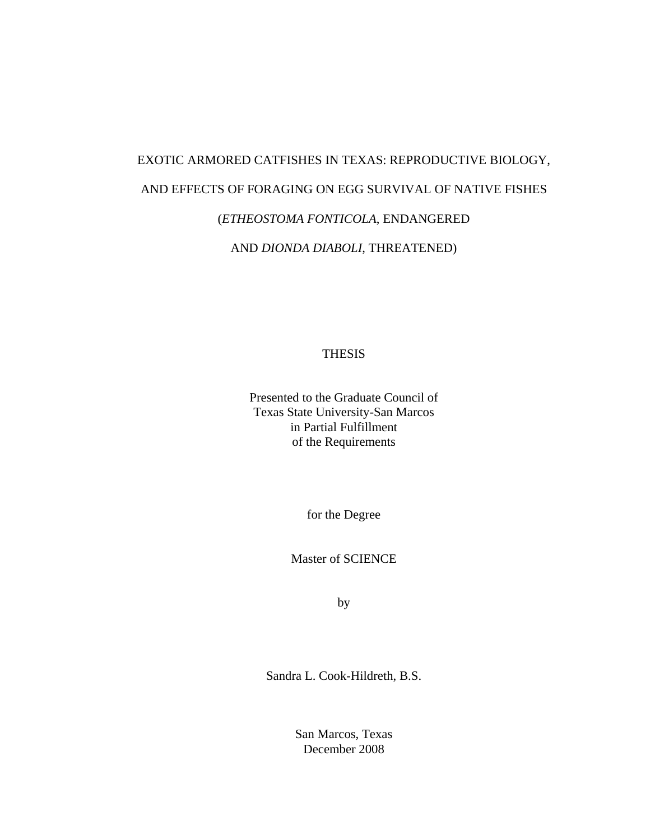# EXOTIC ARMORED CATFISHES IN TEXAS: REPRODUCTIVE BIOLOGY, AND EFFECTS OF FORAGING ON EGG SURVIVAL OF NATIVE FISHES (*ETHEOSTOMA FONTICOLA*, ENDANGERED AND *DIONDA DIABOLI*, THREATENED)

THESIS

Presented to the Graduate Council of Texas State University-San Marcos in Partial Fulfillment of the Requirements

for the Degree

Master of SCIENCE

by

Sandra L. Cook-Hildreth, B.S.

San Marcos, Texas December 2008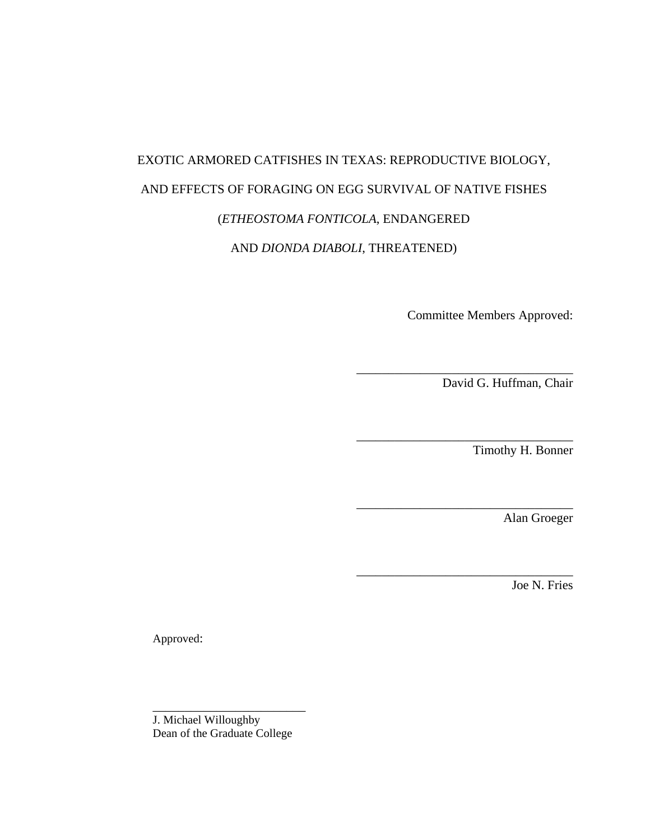# EXOTIC ARMORED CATFISHES IN TEXAS: REPRODUCTIVE BIOLOGY, AND EFFECTS OF FORAGING ON EGG SURVIVAL OF NATIVE FISHES (*ETHEOSTOMA FONTICOLA*, ENDANGERED AND *DIONDA DIABOLI*, THREATENED)

Committee Members Approved:

\_\_\_\_\_\_\_\_\_\_\_\_\_\_\_\_\_\_\_\_\_\_\_\_\_\_\_\_\_\_\_\_\_\_

\_\_\_\_\_\_\_\_\_\_\_\_\_\_\_\_\_\_\_\_\_\_\_\_\_\_\_\_\_\_\_\_\_\_

\_\_\_\_\_\_\_\_\_\_\_\_\_\_\_\_\_\_\_\_\_\_\_\_\_\_\_\_\_\_\_\_\_\_

\_\_\_\_\_\_\_\_\_\_\_\_\_\_\_\_\_\_\_\_\_\_\_\_\_\_\_\_\_\_\_\_\_\_

David G. Huffman, Chair

Timothy H. Bonner

Alan Groeger

Joe N. Fries

Approved:

\_\_\_\_\_\_\_\_\_\_\_\_\_\_\_\_\_\_\_\_\_\_\_\_ J. Michael Willoughby Dean of the Graduate College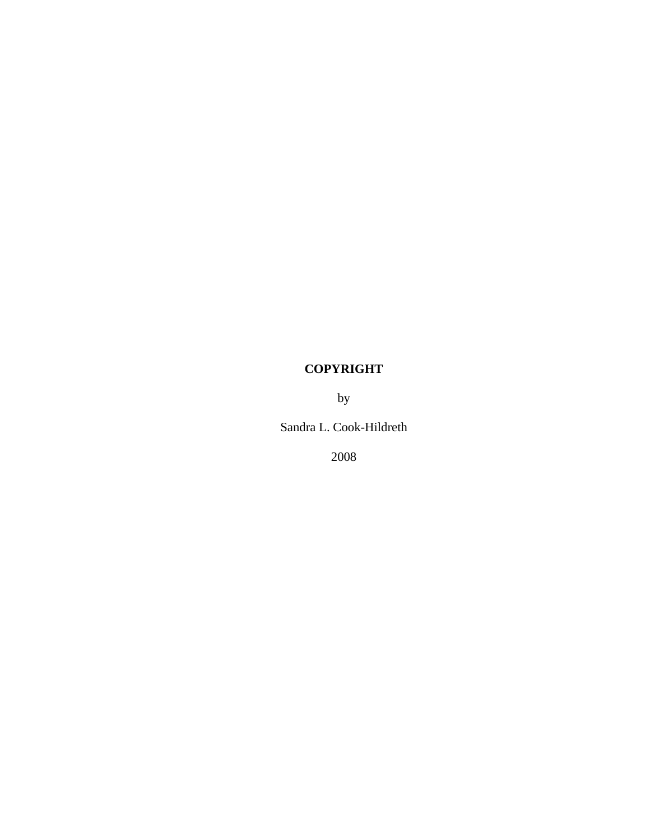## **COPYRIGHT**

by

Sandra L. Cook-Hildreth

2008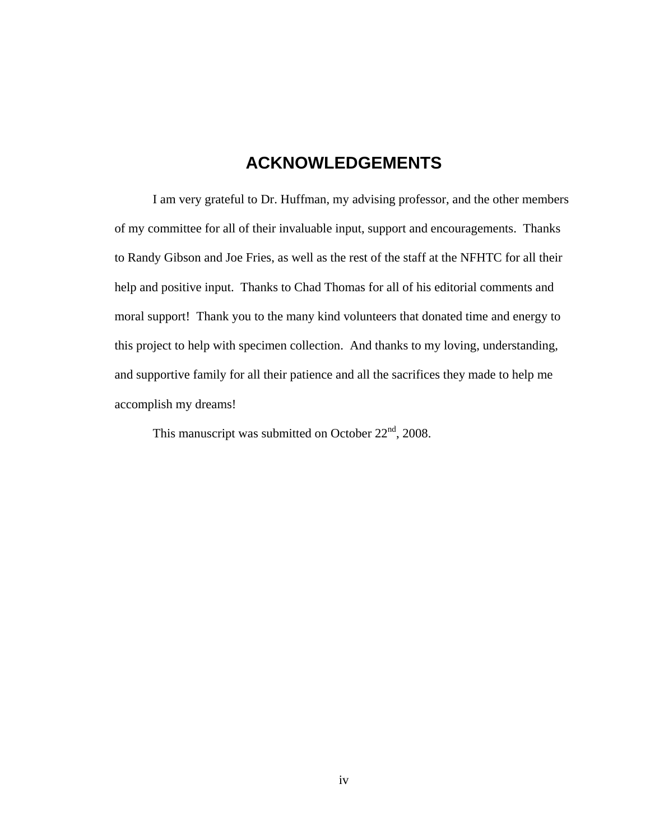## **ACKNOWLEDGEMENTS**

I am very grateful to Dr. Huffman, my advising professor, and the other members of my committee for all of their invaluable input, support and encouragements. Thanks to Randy Gibson and Joe Fries, as well as the rest of the staff at the NFHTC for all their help and positive input. Thanks to Chad Thomas for all of his editorial comments and moral support! Thank you to the many kind volunteers that donated time and energy to this project to help with specimen collection. And thanks to my loving, understanding, and supportive family for all their patience and all the sacrifices they made to help me accomplish my dreams!

This manuscript was submitted on October  $22<sup>nd</sup>$ , 2008.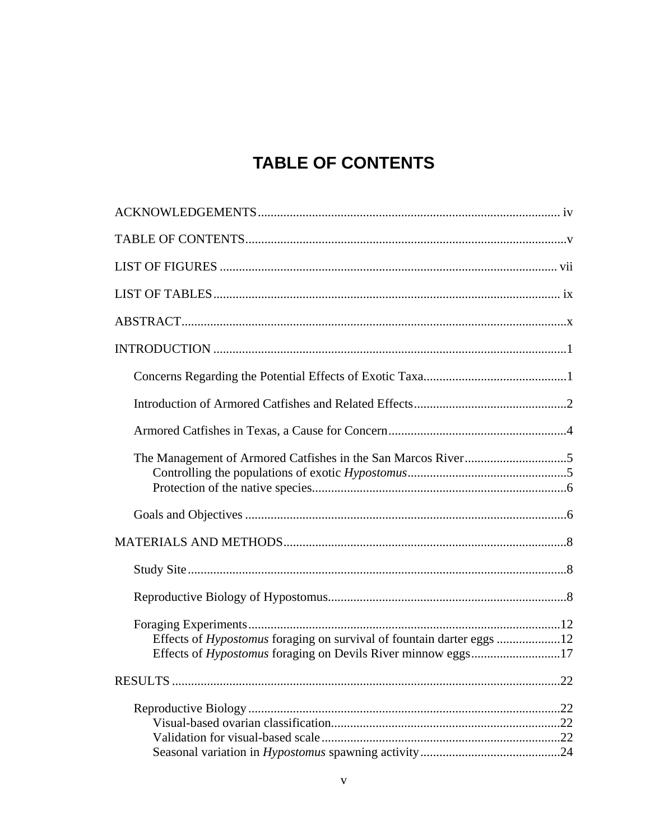# **TABLE OF CONTENTS**

| Effects of Hypostomus foraging on survival of fountain darter eggs 12 |  |
|-----------------------------------------------------------------------|--|
|                                                                       |  |
|                                                                       |  |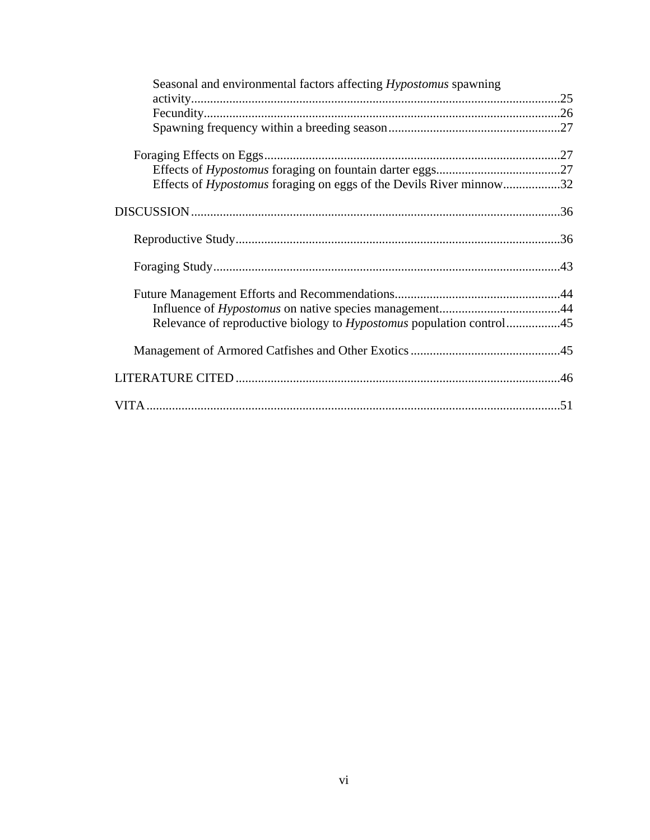| Seasonal and environmental factors affecting <i>Hypostomus</i> spawning     |  |
|-----------------------------------------------------------------------------|--|
|                                                                             |  |
|                                                                             |  |
|                                                                             |  |
|                                                                             |  |
| Effects of <i>Hypostomus</i> foraging on eggs of the Devils River minnow32  |  |
|                                                                             |  |
|                                                                             |  |
|                                                                             |  |
|                                                                             |  |
|                                                                             |  |
| Relevance of reproductive biology to <i>Hypostomus</i> population control45 |  |
|                                                                             |  |
|                                                                             |  |
|                                                                             |  |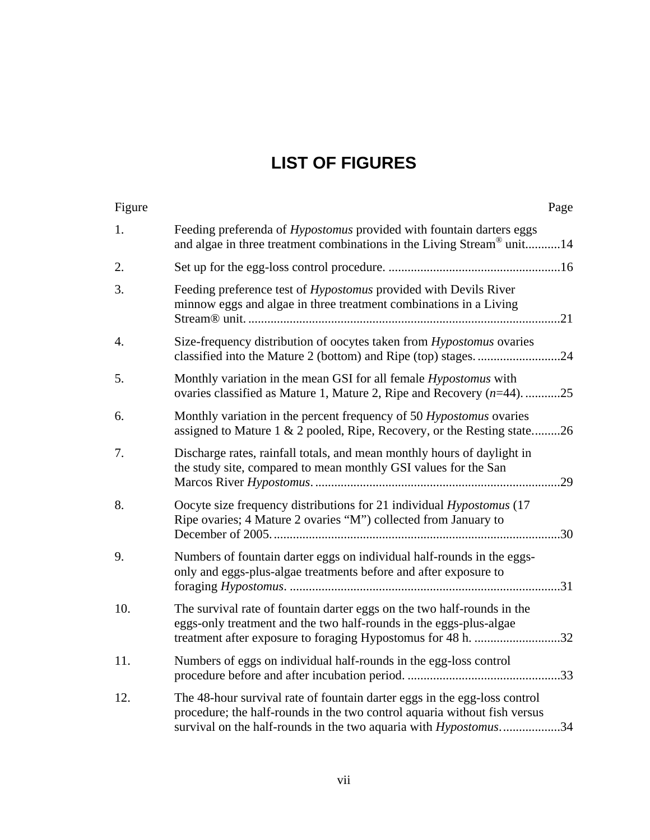# **LIST OF FIGURES**

| Figure | Page                                                                                                                                                                                                                               |  |
|--------|------------------------------------------------------------------------------------------------------------------------------------------------------------------------------------------------------------------------------------|--|
| 1.     | Feeding preferenda of <i>Hypostomus</i> provided with fountain darters eggs<br>and algae in three treatment combinations in the Living Stream® unit14                                                                              |  |
| 2.     |                                                                                                                                                                                                                                    |  |
| 3.     | Feeding preference test of <i>Hypostomus</i> provided with Devils River<br>minnow eggs and algae in three treatment combinations in a Living                                                                                       |  |
| 4.     | Size-frequency distribution of oocytes taken from <i>Hypostomus</i> ovaries                                                                                                                                                        |  |
| 5.     | Monthly variation in the mean GSI for all female <i>Hypostomus</i> with<br>ovaries classified as Mature 1, Mature 2, Ripe and Recovery $(n=44)$ . 25                                                                               |  |
| 6.     | Monthly variation in the percent frequency of 50 Hypostomus ovaries<br>assigned to Mature 1 & 2 pooled, Ripe, Recovery, or the Resting state26                                                                                     |  |
| 7.     | Discharge rates, rainfall totals, and mean monthly hours of daylight in<br>the study site, compared to mean monthly GSI values for the San                                                                                         |  |
| 8.     | Oocyte size frequency distributions for 21 individual Hypostomus (17<br>Ripe ovaries; 4 Mature 2 ovaries "M") collected from January to                                                                                            |  |
| 9.     | Numbers of fountain darter eggs on individual half-rounds in the eggs-<br>only and eggs-plus-algae treatments before and after exposure to                                                                                         |  |
| 10.    | The survival rate of fountain darter eggs on the two half-rounds in the<br>eggs-only treatment and the two half-rounds in the eggs-plus-algae                                                                                      |  |
| 11.    | Numbers of eggs on individual half-rounds in the egg-loss control                                                                                                                                                                  |  |
| 12.    | The 48-hour survival rate of fountain darter eggs in the egg-loss control<br>procedure; the half-rounds in the two control aquaria without fish versus<br>survival on the half-rounds in the two aquaria with <i>Hypostomus</i> 34 |  |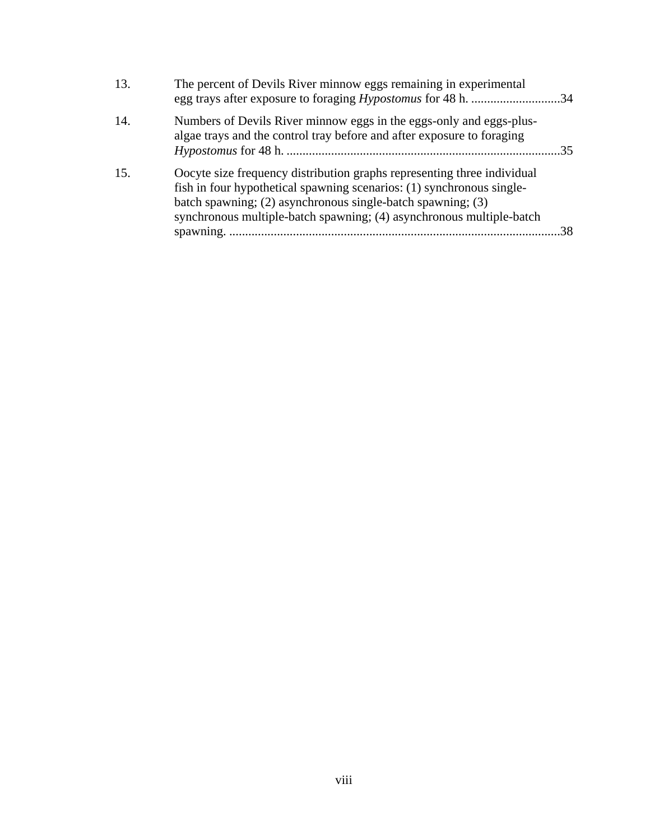| 13. | The percent of Devils River minnow eggs remaining in experimental                                                                                                                                                                                                                       |                 |
|-----|-----------------------------------------------------------------------------------------------------------------------------------------------------------------------------------------------------------------------------------------------------------------------------------------|-----------------|
| 14. | Numbers of Devils River minnow eggs in the eggs-only and eggs-plus-<br>algae trays and the control tray before and after exposure to foraging                                                                                                                                           | $\overline{35}$ |
| 15. | Oocyte size frequency distribution graphs representing three individual<br>fish in four hypothetical spawning scenarios: (1) synchronous single-<br>batch spawning; (2) asynchronous single-batch spawning; (3)<br>synchronous multiple-batch spawning; (4) asynchronous multiple-batch |                 |
|     |                                                                                                                                                                                                                                                                                         | 38              |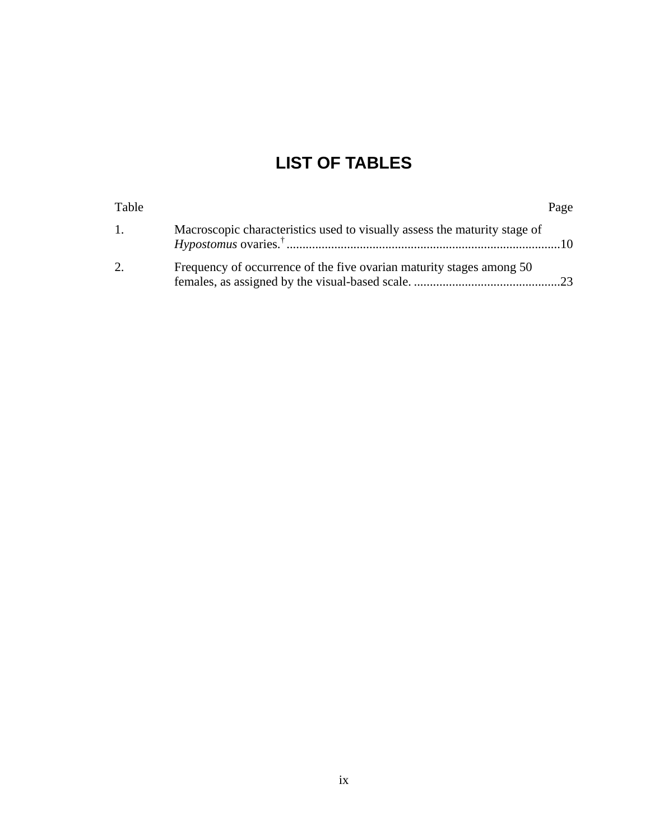# **LIST OF TABLES**

| Table   |                                                                           | Page |
|---------|---------------------------------------------------------------------------|------|
| $1_{-}$ | Macroscopic characteristics used to visually assess the maturity stage of |      |
|         | Frequency of occurrence of the five ovarian maturity stages among 50      |      |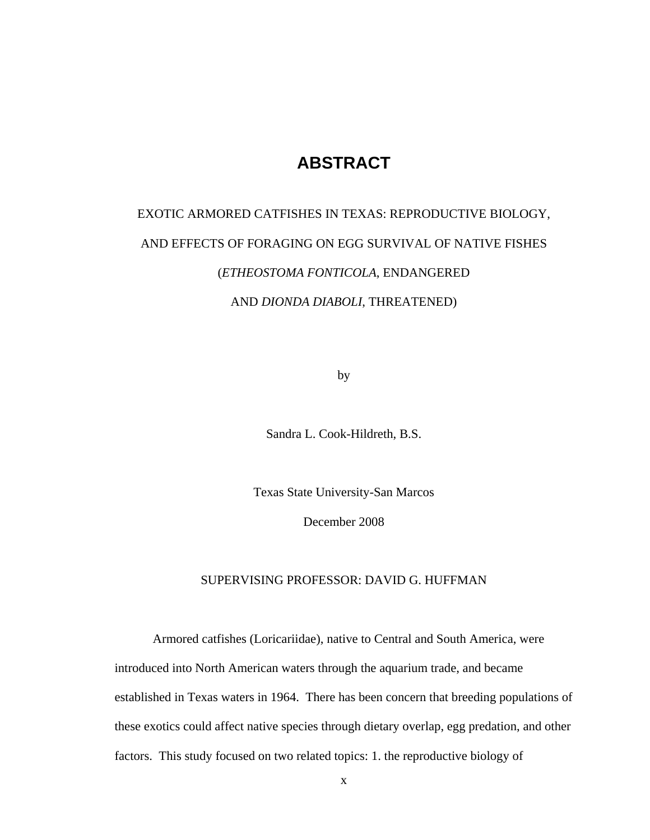## **ABSTRACT**

# EXOTIC ARMORED CATFISHES IN TEXAS: REPRODUCTIVE BIOLOGY, AND EFFECTS OF FORAGING ON EGG SURVIVAL OF NATIVE FISHES (*ETHEOSTOMA FONTICOLA*, ENDANGERED AND *DIONDA DIABOLI*, THREATENED)

by

Sandra L. Cook-Hildreth, B.S.

Texas State University-San Marcos

December 2008

### SUPERVISING PROFESSOR: DAVID G. HUFFMAN

Armored catfishes (Loricariidae), native to Central and South America, were introduced into North American waters through the aquarium trade, and became established in Texas waters in 1964. There has been concern that breeding populations of these exotics could affect native species through dietary overlap, egg predation, and other factors. This study focused on two related topics: 1. the reproductive biology of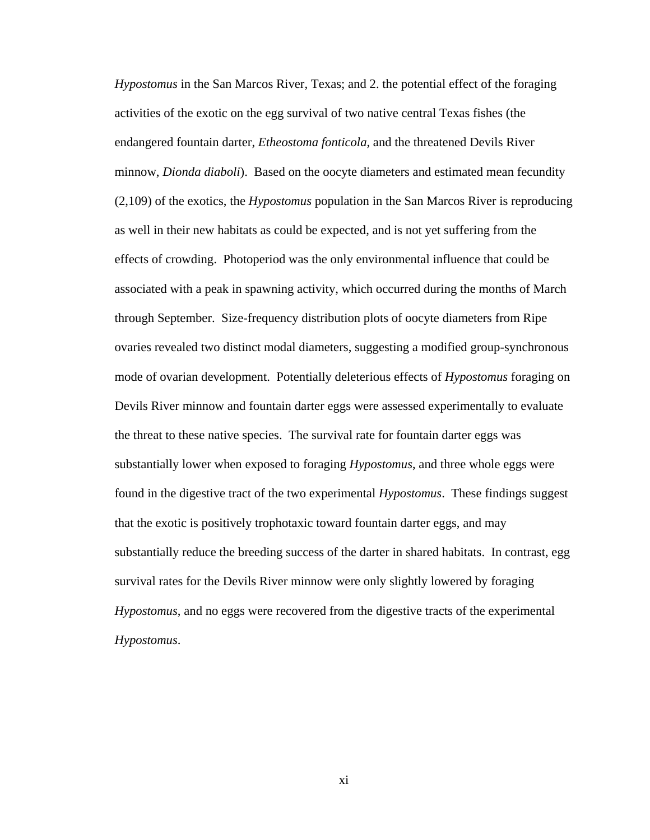*Hypostomus* in the San Marcos River, Texas; and 2. the potential effect of the foraging activities of the exotic on the egg survival of two native central Texas fishes (the endangered fountain darter, *Etheostoma fonticola*, and the threatened Devils River minnow, *Dionda diaboli*). Based on the oocyte diameters and estimated mean fecundity (2,109) of the exotics, the *Hypostomus* population in the San Marcos River is reproducing as well in their new habitats as could be expected, and is not yet suffering from the effects of crowding. Photoperiod was the only environmental influence that could be associated with a peak in spawning activity, which occurred during the months of March through September. Size-frequency distribution plots of oocyte diameters from Ripe ovaries revealed two distinct modal diameters, suggesting a modified group-synchronous mode of ovarian development. Potentially deleterious effects of *Hypostomus* foraging on Devils River minnow and fountain darter eggs were assessed experimentally to evaluate the threat to these native species. The survival rate for fountain darter eggs was substantially lower when exposed to foraging *Hypostomus*, and three whole eggs were found in the digestive tract of the two experimental *Hypostomus*. These findings suggest that the exotic is positively trophotaxic toward fountain darter eggs, and may substantially reduce the breeding success of the darter in shared habitats. In contrast, egg survival rates for the Devils River minnow were only slightly lowered by foraging *Hypostomus*, and no eggs were recovered from the digestive tracts of the experimental *Hypostomus*.

xi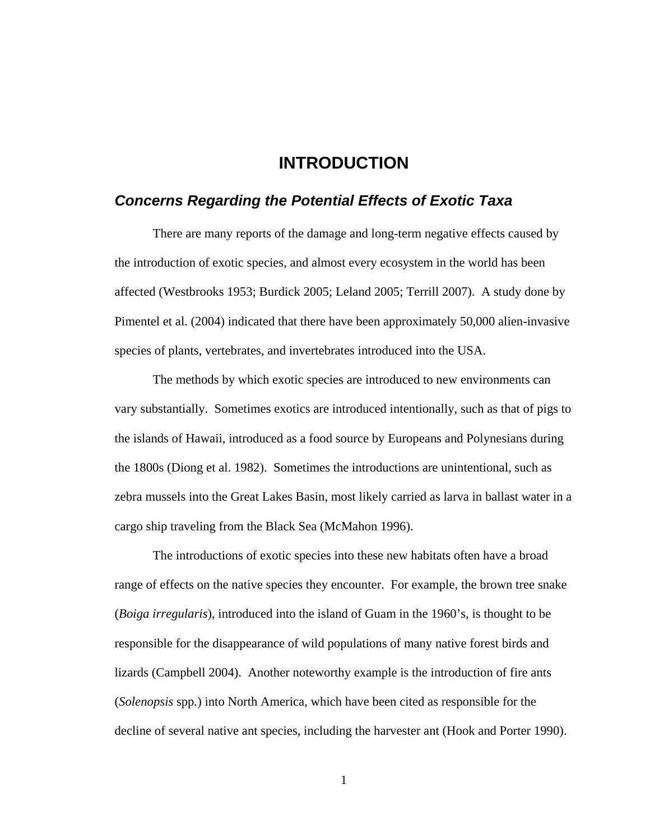## **INTRODUCTION**

## *Concerns Regarding the Potential Effects of Exotic Taxa*

There are many reports of the damage and long-term negative effects caused by the introduction of exotic species, and almost every ecosystem in the world has been affected (Westbrooks 1953; Burdick 2005; Leland 2005; Terrill 2007). A study done by Pimentel et al. (2004) indicated that there have been approximately 50,000 alien-invasive species of plants, vertebrates, and invertebrates introduced into the USA.

The methods by which exotic species are introduced to new environments can vary substantially. Sometimes exotics are introduced intentionally, such as that of pigs to the islands of Hawaii, introduced as a food source by Europeans and Polynesians during the 1800s (Diong et al. 1982). Sometimes the introductions are unintentional, such as zebra mussels into the Great Lakes Basin, most likely carried as larva in ballast water in a cargo ship traveling from the Black Sea (McMahon 1996).

The introductions of exotic species into these new habitats often have a broad range of effects on the native species they encounter. For example, the brown tree snake (*Boiga irregularis*), introduced into the island of Guam in the 1960's, is thought to be responsible for the disappearance of wild populations of many native forest birds and lizards (Campbell 2004). Another noteworthy example is the introduction of fire ants (*Solenopsis* spp*.*) into North America, which have been cited as responsible for the decline of several native ant species, including the harvester ant (Hook and Porter 1990).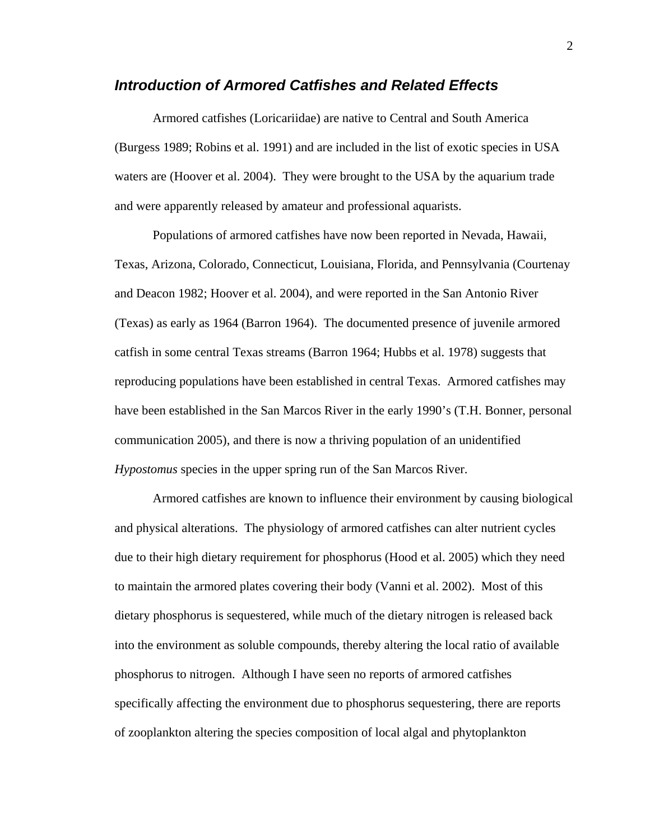### *Introduction of Armored Catfishes and Related Effects*

Armored catfishes (Loricariidae) are native to Central and South America (Burgess 1989; Robins et al. 1991) and are included in the list of exotic species in USA waters are (Hoover et al. 2004). They were brought to the USA by the aquarium trade and were apparently released by amateur and professional aquarists.

Populations of armored catfishes have now been reported in Nevada, Hawaii, Texas, Arizona, Colorado, Connecticut, Louisiana, Florida, and Pennsylvania (Courtenay and Deacon 1982; Hoover et al. 2004), and were reported in the San Antonio River (Texas) as early as 1964 (Barron 1964). The documented presence of juvenile armored catfish in some central Texas streams (Barron 1964; Hubbs et al. 1978) suggests that reproducing populations have been established in central Texas. Armored catfishes may have been established in the San Marcos River in the early 1990's (T.H. Bonner, personal communication 2005), and there is now a thriving population of an unidentified *Hypostomus* species in the upper spring run of the San Marcos River.

Armored catfishes are known to influence their environment by causing biological and physical alterations. The physiology of armored catfishes can alter nutrient cycles due to their high dietary requirement for phosphorus (Hood et al. 2005) which they need to maintain the armored plates covering their body (Vanni et al. 2002). Most of this dietary phosphorus is sequestered, while much of the dietary nitrogen is released back into the environment as soluble compounds, thereby altering the local ratio of available phosphorus to nitrogen. Although I have seen no reports of armored catfishes specifically affecting the environment due to phosphorus sequestering, there are reports of zooplankton altering the species composition of local algal and phytoplankton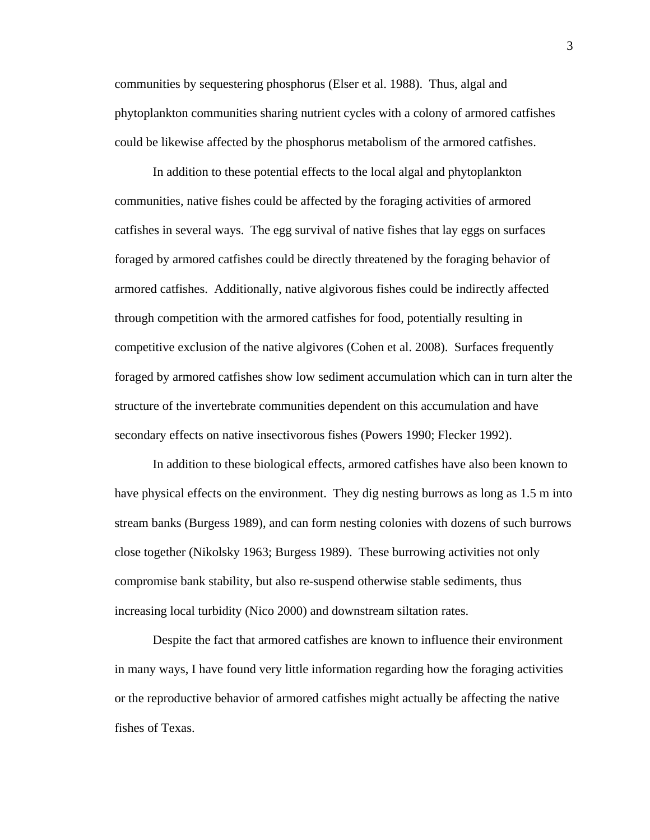communities by sequestering phosphorus (Elser et al. 1988). Thus, algal and phytoplankton communities sharing nutrient cycles with a colony of armored catfishes could be likewise affected by the phosphorus metabolism of the armored catfishes.

In addition to these potential effects to the local algal and phytoplankton communities, native fishes could be affected by the foraging activities of armored catfishes in several ways. The egg survival of native fishes that lay eggs on surfaces foraged by armored catfishes could be directly threatened by the foraging behavior of armored catfishes. Additionally, native algivorous fishes could be indirectly affected through competition with the armored catfishes for food, potentially resulting in competitive exclusion of the native algivores (Cohen et al. 2008). Surfaces frequently foraged by armored catfishes show low sediment accumulation which can in turn alter the structure of the invertebrate communities dependent on this accumulation and have secondary effects on native insectivorous fishes (Powers 1990; Flecker 1992).

In addition to these biological effects, armored catfishes have also been known to have physical effects on the environment. They dig nesting burrows as long as 1.5 m into stream banks (Burgess 1989), and can form nesting colonies with dozens of such burrows close together (Nikolsky 1963; Burgess 1989). These burrowing activities not only compromise bank stability, but also re-suspend otherwise stable sediments, thus increasing local turbidity (Nico 2000) and downstream siltation rates.

Despite the fact that armored catfishes are known to influence their environment in many ways, I have found very little information regarding how the foraging activities or the reproductive behavior of armored catfishes might actually be affecting the native fishes of Texas.

3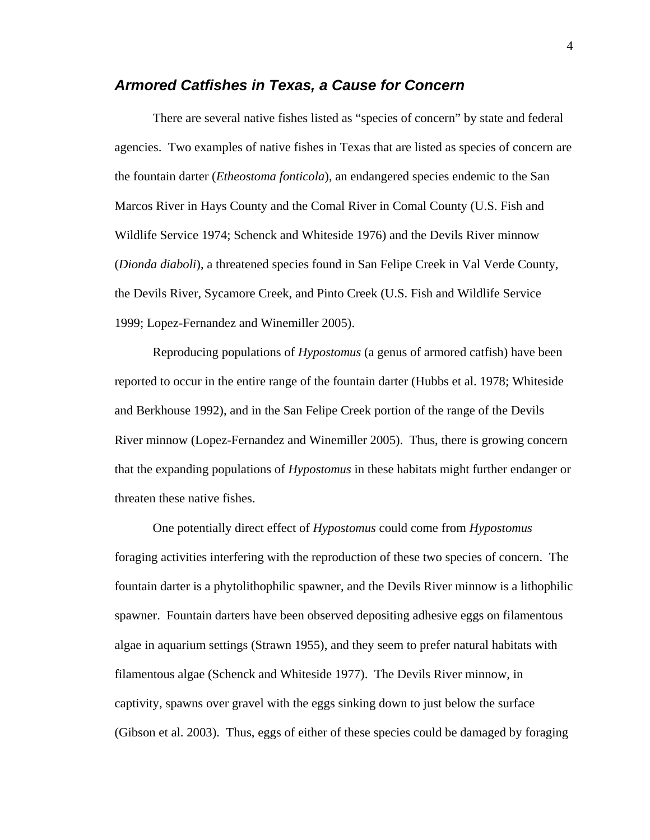## *Armored Catfishes in Texas, a Cause for Concern*

There are several native fishes listed as "species of concern" by state and federal agencies. Two examples of native fishes in Texas that are listed as species of concern are the fountain darter (*Etheostoma fonticola*), an endangered species endemic to the San Marcos River in Hays County and the Comal River in Comal County (U.S. Fish and Wildlife Service 1974; Schenck and Whiteside 1976) and the Devils River minnow (*Dionda diaboli*), a threatened species found in San Felipe Creek in Val Verde County, the Devils River, Sycamore Creek, and Pinto Creek (U.S. Fish and Wildlife Service 1999; Lopez-Fernandez and Winemiller 2005).

Reproducing populations of *Hypostomus* (a genus of armored catfish) have been reported to occur in the entire range of the fountain darter (Hubbs et al. 1978; Whiteside and Berkhouse 1992), and in the San Felipe Creek portion of the range of the Devils River minnow (Lopez-Fernandez and Winemiller 2005). Thus, there is growing concern that the expanding populations of *Hypostomus* in these habitats might further endanger or threaten these native fishes.

One potentially direct effect of *Hypostomus* could come from *Hypostomus* foraging activities interfering with the reproduction of these two species of concern. The fountain darter is a phytolithophilic spawner, and the Devils River minnow is a lithophilic spawner. Fountain darters have been observed depositing adhesive eggs on filamentous algae in aquarium settings (Strawn 1955), and they seem to prefer natural habitats with filamentous algae (Schenck and Whiteside 1977). The Devils River minnow, in captivity, spawns over gravel with the eggs sinking down to just below the surface (Gibson et al. 2003). Thus, eggs of either of these species could be damaged by foraging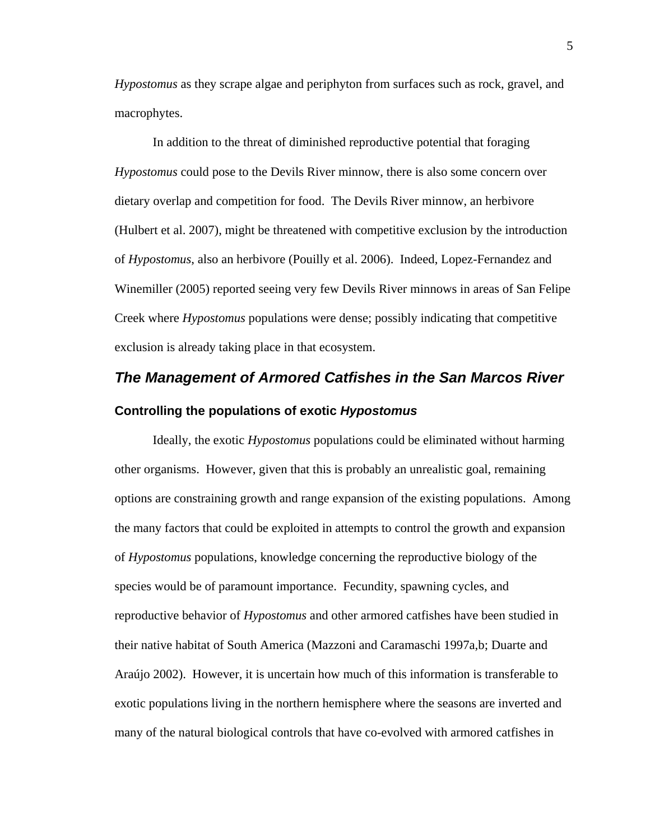*Hypostomus* as they scrape algae and periphyton from surfaces such as rock, gravel, and macrophytes.

In addition to the threat of diminished reproductive potential that foraging *Hypostomus* could pose to the Devils River minnow, there is also some concern over dietary overlap and competition for food. The Devils River minnow, an herbivore (Hulbert et al. 2007), might be threatened with competitive exclusion by the introduction of *Hypostomus*, also an herbivore (Pouilly et al. 2006). Indeed, Lopez-Fernandez and Winemiller (2005) reported seeing very few Devils River minnows in areas of San Felipe Creek where *Hypostomus* populations were dense; possibly indicating that competitive exclusion is already taking place in that ecosystem.

# *The Management of Armored Catfishes in the San Marcos River*  **Controlling the populations of exotic** *Hypostomus*

Ideally, the exotic *Hypostomus* populations could be eliminated without harming other organisms. However, given that this is probably an unrealistic goal, remaining options are constraining growth and range expansion of the existing populations. Among the many factors that could be exploited in attempts to control the growth and expansion of *Hypostomus* populations, knowledge concerning the reproductive biology of the species would be of paramount importance. Fecundity, spawning cycles, and reproductive behavior of *Hypostomus* and other armored catfishes have been studied in their native habitat of South America (Mazzoni and Caramaschi 1997a,b; Duarte and Araújo 2002). However, it is uncertain how much of this information is transferable to exotic populations living in the northern hemisphere where the seasons are inverted and many of the natural biological controls that have co-evolved with armored catfishes in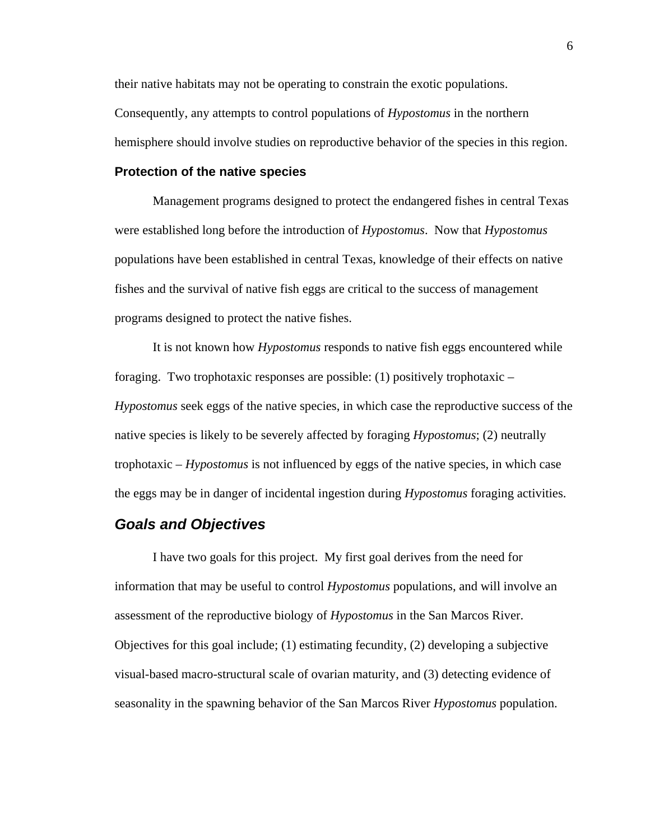their native habitats may not be operating to constrain the exotic populations. Consequently, any attempts to control populations of *Hypostomus* in the northern hemisphere should involve studies on reproductive behavior of the species in this region.

#### **Protection of the native species**

Management programs designed to protect the endangered fishes in central Texas were established long before the introduction of *Hypostomus*. Now that *Hypostomus* populations have been established in central Texas, knowledge of their effects on native fishes and the survival of native fish eggs are critical to the success of management programs designed to protect the native fishes.

It is not known how *Hypostomus* responds to native fish eggs encountered while foraging. Two trophotaxic responses are possible: (1) positively trophotaxic – *Hypostomus* seek eggs of the native species, in which case the reproductive success of the native species is likely to be severely affected by foraging *Hypostomus*; (2) neutrally trophotaxic – *Hypostomus* is not influenced by eggs of the native species, in which case the eggs may be in danger of incidental ingestion during *Hypostomus* foraging activities.

## *Goals and Objectives*

I have two goals for this project. My first goal derives from the need for information that may be useful to control *Hypostomus* populations, and will involve an assessment of the reproductive biology of *Hypostomus* in the San Marcos River. Objectives for this goal include; (1) estimating fecundity, (2) developing a subjective visual-based macro-structural scale of ovarian maturity, and (3) detecting evidence of seasonality in the spawning behavior of the San Marcos River *Hypostomus* population.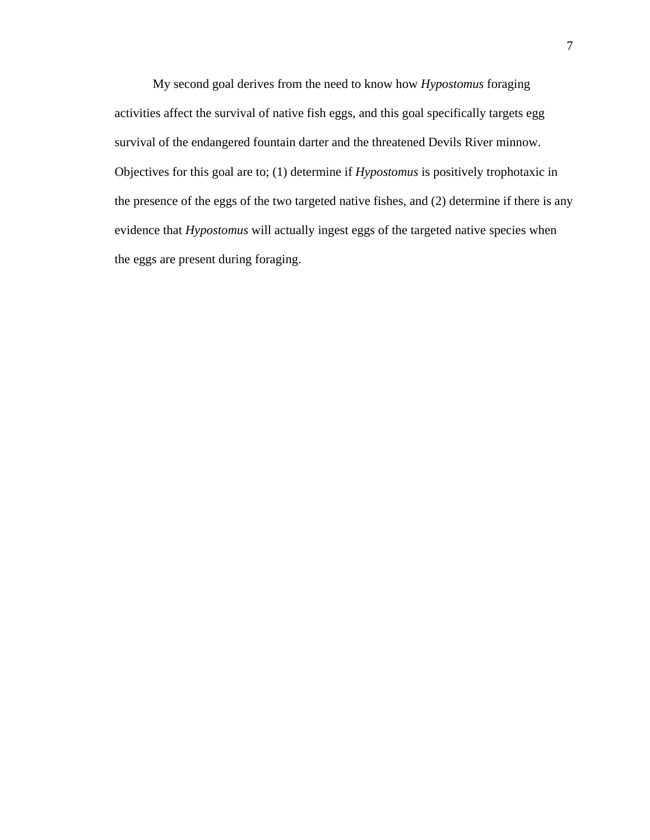My second goal derives from the need to know how *Hypostomus* foraging activities affect the survival of native fish eggs, and this goal specifically targets egg survival of the endangered fountain darter and the threatened Devils River minnow. Objectives for this goal are to; (1) determine if *Hypostomus* is positively trophotaxic in the presence of the eggs of the two targeted native fishes, and (2) determine if there is any evidence that *Hypostomus* will actually ingest eggs of the targeted native species when the eggs are present during foraging.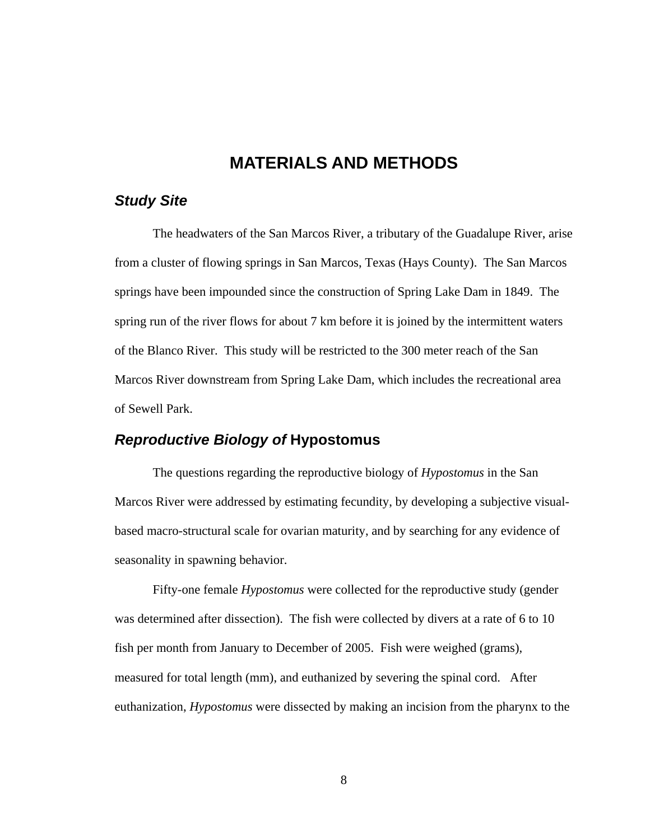## **MATERIALS AND METHODS**

### *Study Site*

The headwaters of the San Marcos River, a tributary of the Guadalupe River, arise from a cluster of flowing springs in San Marcos, Texas (Hays County). The San Marcos springs have been impounded since the construction of Spring Lake Dam in 1849. The spring run of the river flows for about 7 km before it is joined by the intermittent waters of the Blanco River. This study will be restricted to the 300 meter reach of the San Marcos River downstream from Spring Lake Dam, which includes the recreational area of Sewell Park.

## *Reproductive Biology of* **Hypostomus**

The questions regarding the reproductive biology of *Hypostomus* in the San Marcos River were addressed by estimating fecundity, by developing a subjective visualbased macro-structural scale for ovarian maturity, and by searching for any evidence of seasonality in spawning behavior.

Fifty-one female *Hypostomus* were collected for the reproductive study (gender was determined after dissection). The fish were collected by divers at a rate of 6 to 10 fish per month from January to December of 2005. Fish were weighed (grams), measured for total length (mm), and euthanized by severing the spinal cord. After euthanization, *Hypostomus* were dissected by making an incision from the pharynx to the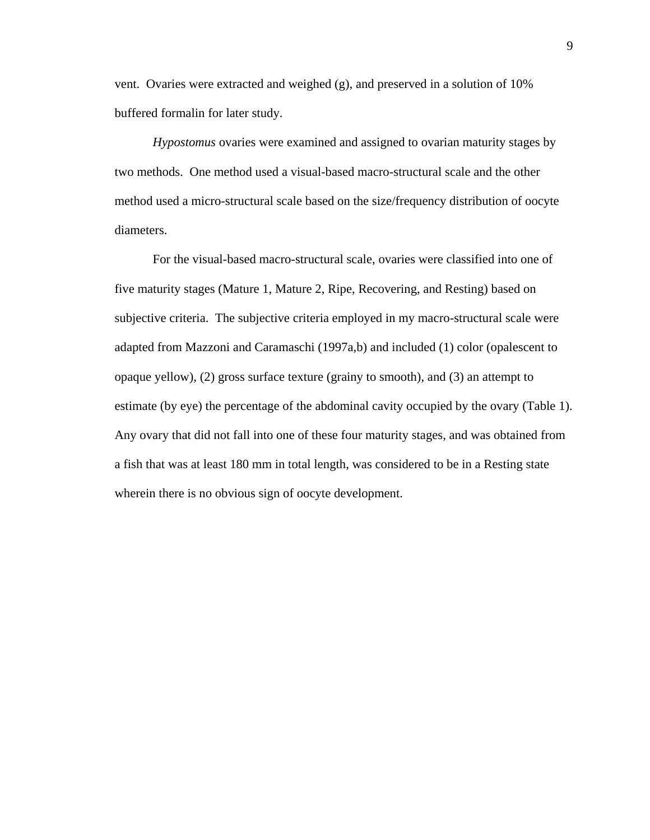vent. Ovaries were extracted and weighed (g), and preserved in a solution of 10% buffered formalin for later study.

*Hypostomus* ovaries were examined and assigned to ovarian maturity stages by two methods. One method used a visual-based macro-structural scale and the other method used a micro-structural scale based on the size/frequency distribution of oocyte diameters.

For the visual-based macro-structural scale, ovaries were classified into one of five maturity stages (Mature 1, Mature 2, Ripe, Recovering, and Resting) based on subjective criteria. The subjective criteria employed in my macro-structural scale were adapted from Mazzoni and Caramaschi (1997a,b) and included (1) color (opalescent to opaque yellow), (2) gross surface texture (grainy to smooth), and (3) an attempt to estimate (by eye) the percentage of the abdominal cavity occupied by the ovary (Table 1). Any ovary that did not fall into one of these four maturity stages, and was obtained from a fish that was at least 180 mm in total length, was considered to be in a Resting state wherein there is no obvious sign of oocyte development.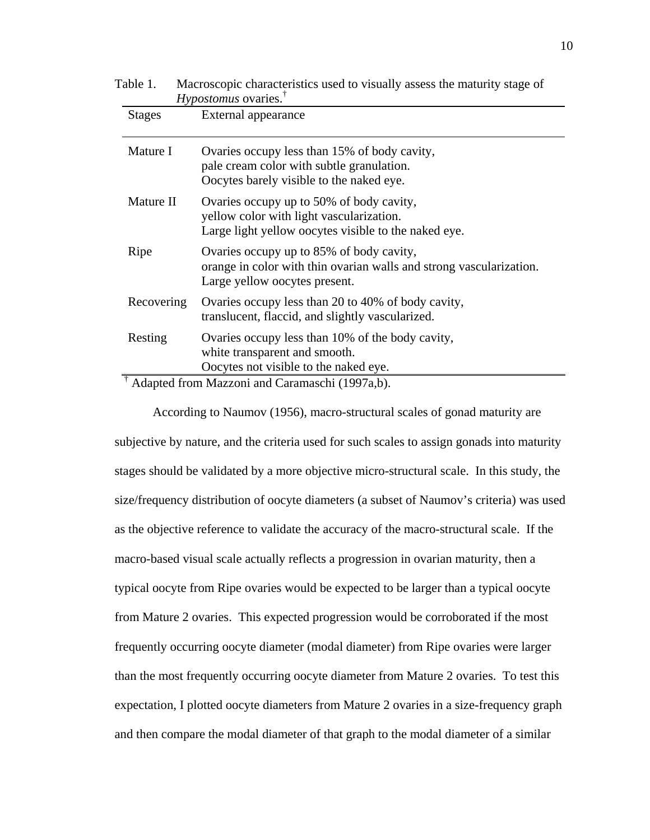| LAUITI.       | Macroscopic characteristics used to visually assess the maturity stage of<br>$Hypostomus$ ovaries. <sup>†</sup>                                  |
|---------------|--------------------------------------------------------------------------------------------------------------------------------------------------|
| <b>Stages</b> | External appearance                                                                                                                              |
| Mature I      | Ovaries occupy less than 15% of body cavity,<br>pale cream color with subtle granulation.<br>Oocytes barely visible to the naked eye.            |
| Mature II     | Ovaries occupy up to 50% of body cavity,<br>yellow color with light vascularization.<br>Large light yellow oocytes visible to the naked eye.     |
| Ripe          | Ovaries occupy up to 85% of body cavity,<br>orange in color with thin ovarian walls and strong vascularization.<br>Large yellow oocytes present. |
| Recovering    | Ovaries occupy less than 20 to 40% of body cavity,<br>translucent, flaccid, and slightly vascularized.                                           |
| Resting       | Ovaries occupy less than 10% of the body cavity,<br>white transparent and smooth.<br>Oocytes not visible to the naked eye.                       |

Table 1. Macroscopic characteristics used to visually assess the maturity stage of

† Adapted from Mazzoni and Caramaschi (1997a,b).

According to Naumov (1956), macro-structural scales of gonad maturity are

subjective by nature, and the criteria used for such scales to assign gonads into maturity stages should be validated by a more objective micro-structural scale. In this study, the size/frequency distribution of oocyte diameters (a subset of Naumov's criteria) was used as the objective reference to validate the accuracy of the macro-structural scale. If the macro-based visual scale actually reflects a progression in ovarian maturity, then a typical oocyte from Ripe ovaries would be expected to be larger than a typical oocyte from Mature 2 ovaries. This expected progression would be corroborated if the most frequently occurring oocyte diameter (modal diameter) from Ripe ovaries were larger than the most frequently occurring oocyte diameter from Mature 2 ovaries. To test this expectation, I plotted oocyte diameters from Mature 2 ovaries in a size-frequency graph and then compare the modal diameter of that graph to the modal diameter of a similar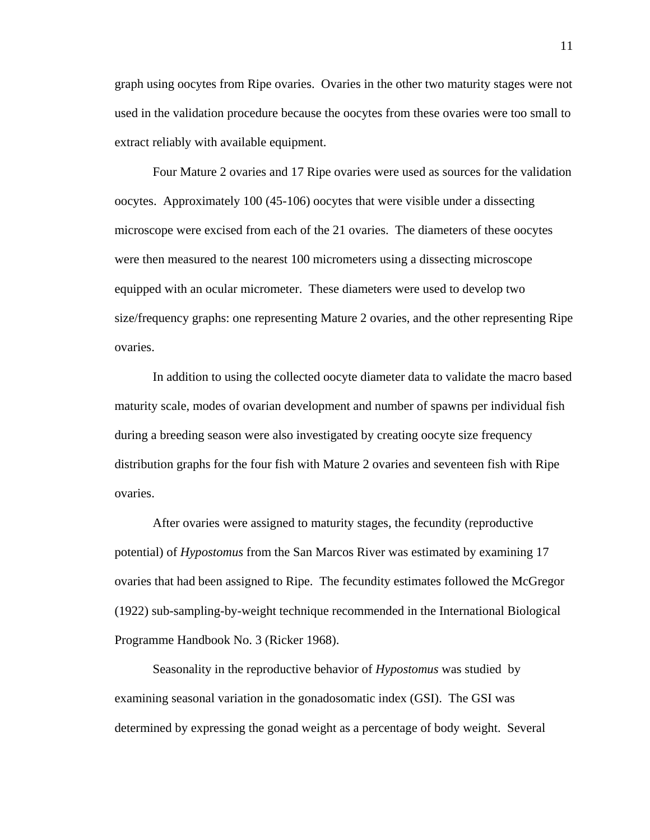graph using oocytes from Ripe ovaries. Ovaries in the other two maturity stages were not used in the validation procedure because the oocytes from these ovaries were too small to extract reliably with available equipment.

Four Mature 2 ovaries and 17 Ripe ovaries were used as sources for the validation oocytes. Approximately 100 (45-106) oocytes that were visible under a dissecting microscope were excised from each of the 21 ovaries. The diameters of these oocytes were then measured to the nearest 100 micrometers using a dissecting microscope equipped with an ocular micrometer. These diameters were used to develop two size/frequency graphs: one representing Mature 2 ovaries, and the other representing Ripe ovaries.

In addition to using the collected oocyte diameter data to validate the macro based maturity scale, modes of ovarian development and number of spawns per individual fish during a breeding season were also investigated by creating oocyte size frequency distribution graphs for the four fish with Mature 2 ovaries and seventeen fish with Ripe ovaries.

After ovaries were assigned to maturity stages, the fecundity (reproductive potential) of *Hypostomus* from the San Marcos River was estimated by examining 17 ovaries that had been assigned to Ripe. The fecundity estimates followed the McGregor (1922) sub-sampling-by-weight technique recommended in the International Biological Programme Handbook No. 3 (Ricker 1968).

Seasonality in the reproductive behavior of *Hypostomus* was studied by examining seasonal variation in the gonadosomatic index (GSI). The GSI was determined by expressing the gonad weight as a percentage of body weight. Several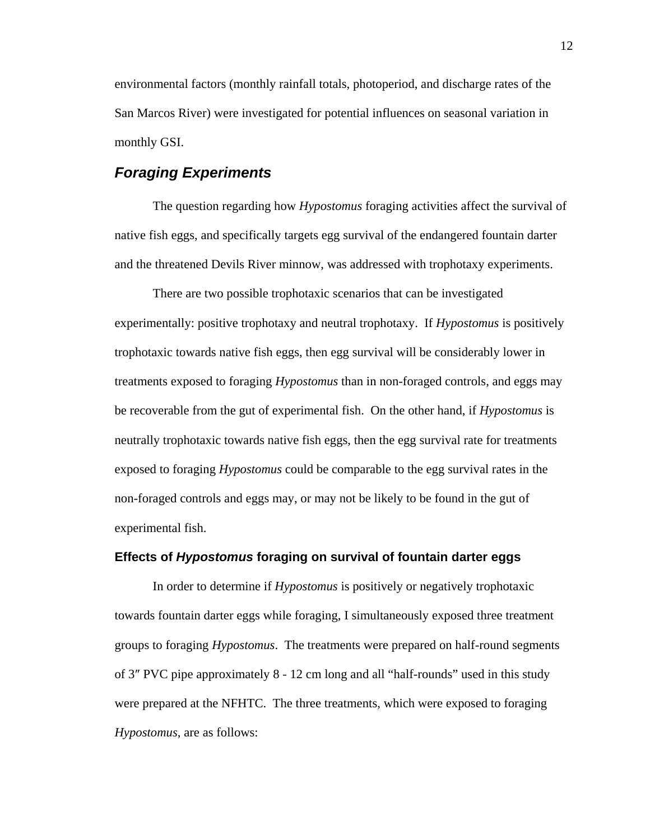environmental factors (monthly rainfall totals, photoperiod, and discharge rates of the San Marcos River) were investigated for potential influences on seasonal variation in monthly GSI.

## *Foraging Experiments*

The question regarding how *Hypostomus* foraging activities affect the survival of native fish eggs, and specifically targets egg survival of the endangered fountain darter and the threatened Devils River minnow, was addressed with trophotaxy experiments.

There are two possible trophotaxic scenarios that can be investigated experimentally: positive trophotaxy and neutral trophotaxy. If *Hypostomus* is positively trophotaxic towards native fish eggs, then egg survival will be considerably lower in treatments exposed to foraging *Hypostomus* than in non-foraged controls, and eggs may be recoverable from the gut of experimental fish. On the other hand, if *Hypostomus* is neutrally trophotaxic towards native fish eggs, then the egg survival rate for treatments exposed to foraging *Hypostomus* could be comparable to the egg survival rates in the non-foraged controls and eggs may, or may not be likely to be found in the gut of experimental fish.

#### **Effects of** *Hypostomus* **foraging on survival of fountain darter eggs**

In order to determine if *Hypostomus* is positively or negatively trophotaxic towards fountain darter eggs while foraging, I simultaneously exposed three treatment groups to foraging *Hypostomus*. The treatments were prepared on half-round segments of 3″ PVC pipe approximately 8 - 12 cm long and all "half-rounds" used in this study were prepared at the NFHTC. The three treatments, which were exposed to foraging *Hypostomus*, are as follows: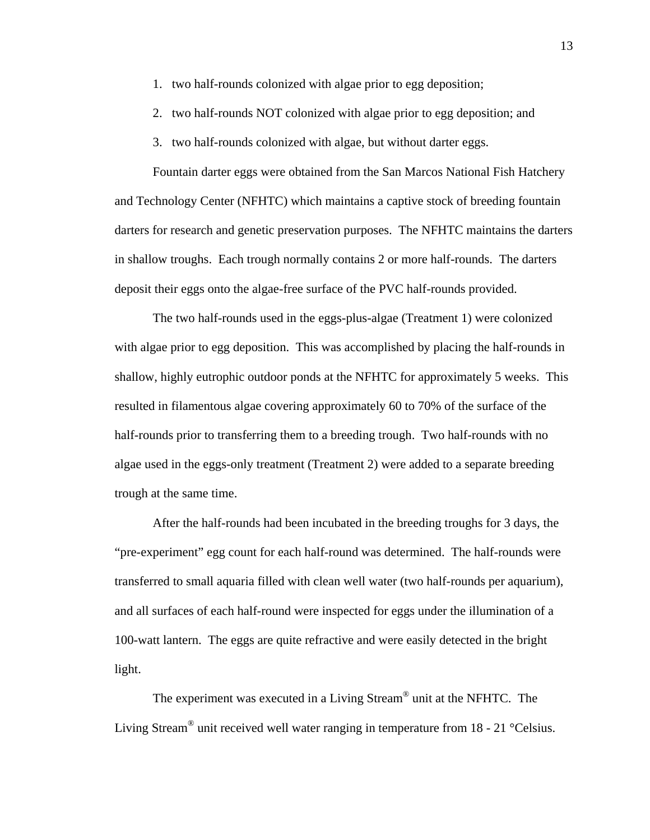- 1. two half-rounds colonized with algae prior to egg deposition;
- 2. two half-rounds NOT colonized with algae prior to egg deposition; and
- 3. two half-rounds colonized with algae, but without darter eggs.

Fountain darter eggs were obtained from the San Marcos National Fish Hatchery and Technology Center (NFHTC) which maintains a captive stock of breeding fountain darters for research and genetic preservation purposes. The NFHTC maintains the darters in shallow troughs. Each trough normally contains 2 or more half-rounds. The darters deposit their eggs onto the algae-free surface of the PVC half-rounds provided.

The two half-rounds used in the eggs-plus-algae (Treatment 1) were colonized with algae prior to egg deposition. This was accomplished by placing the half-rounds in shallow, highly eutrophic outdoor ponds at the NFHTC for approximately 5 weeks. This resulted in filamentous algae covering approximately 60 to 70% of the surface of the half-rounds prior to transferring them to a breeding trough. Two half-rounds with no algae used in the eggs-only treatment (Treatment 2) were added to a separate breeding trough at the same time.

After the half-rounds had been incubated in the breeding troughs for 3 days, the "pre-experiment" egg count for each half-round was determined. The half-rounds were transferred to small aquaria filled with clean well water (two half-rounds per aquarium), and all surfaces of each half-round were inspected for eggs under the illumination of a 100-watt lantern. The eggs are quite refractive and were easily detected in the bright light.

The experiment was executed in a Living Stream® unit at the NFHTC. The Living Stream<sup>®</sup> unit received well water ranging in temperature from 18 - 21 °Celsius.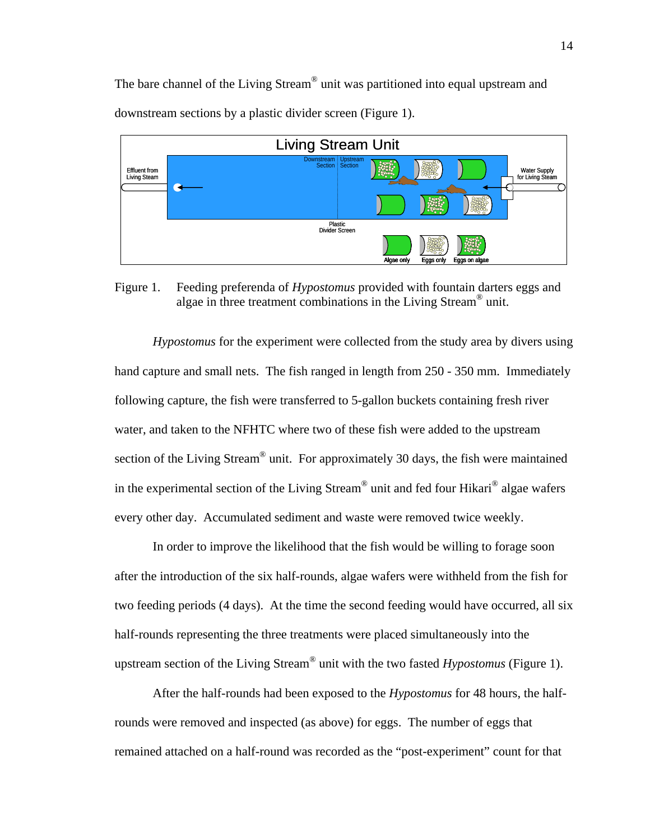The bare channel of the Living Stream® unit was partitioned into equal upstream and downstream sections by a plastic divider screen (Figure 1).



Figure 1. Feeding preferenda of *Hypostomus* provided with fountain darters eggs and algae in three treatment combinations in the Living Stream® unit.

*Hypostomus* for the experiment were collected from the study area by divers using hand capture and small nets. The fish ranged in length from 250 - 350 mm. Immediately following capture, the fish were transferred to 5-gallon buckets containing fresh river water, and taken to the NFHTC where two of these fish were added to the upstream section of the Living Stream<sup>®</sup> unit. For approximately 30 days, the fish were maintained in the experimental section of the Living Stream<sup>®</sup> unit and fed four Hikari<sup>®</sup> algae wafers every other day. Accumulated sediment and waste were removed twice weekly.

In order to improve the likelihood that the fish would be willing to forage soon after the introduction of the six half-rounds, algae wafers were withheld from the fish for two feeding periods (4 days). At the time the second feeding would have occurred, all six half-rounds representing the three treatments were placed simultaneously into the upstream section of the Living Stream® unit with the two fasted *Hypostomus* (Figure 1).

After the half-rounds had been exposed to the *Hypostomus* for 48 hours, the halfrounds were removed and inspected (as above) for eggs. The number of eggs that remained attached on a half-round was recorded as the "post-experiment" count for that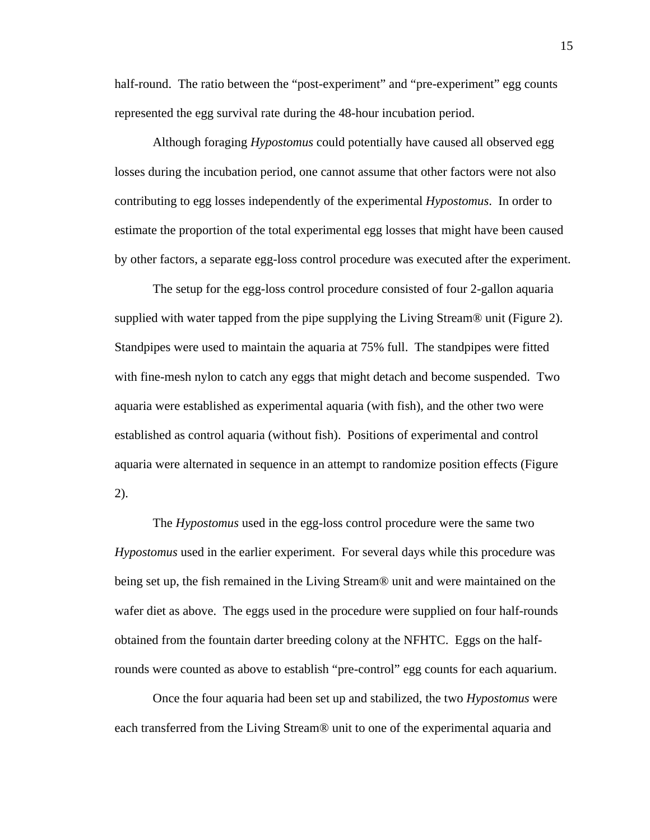half-round. The ratio between the "post-experiment" and "pre-experiment" egg counts represented the egg survival rate during the 48-hour incubation period.

Although foraging *Hypostomus* could potentially have caused all observed egg losses during the incubation period, one cannot assume that other factors were not also contributing to egg losses independently of the experimental *Hypostomus*. In order to estimate the proportion of the total experimental egg losses that might have been caused by other factors, a separate egg-loss control procedure was executed after the experiment.

The setup for the egg-loss control procedure consisted of four 2-gallon aquaria supplied with water tapped from the pipe supplying the Living Stream® unit (Figure 2). Standpipes were used to maintain the aquaria at 75% full. The standpipes were fitted with fine-mesh nylon to catch any eggs that might detach and become suspended. Two aquaria were established as experimental aquaria (with fish), and the other two were established as control aquaria (without fish). Positions of experimental and control aquaria were alternated in sequence in an attempt to randomize position effects (Figure 2).

The *Hypostomus* used in the egg-loss control procedure were the same two *Hypostomus* used in the earlier experiment. For several days while this procedure was being set up, the fish remained in the Living Stream® unit and were maintained on the wafer diet as above. The eggs used in the procedure were supplied on four half-rounds obtained from the fountain darter breeding colony at the NFHTC. Eggs on the halfrounds were counted as above to establish "pre-control" egg counts for each aquarium.

Once the four aquaria had been set up and stabilized, the two *Hypostomus* were each transferred from the Living Stream® unit to one of the experimental aquaria and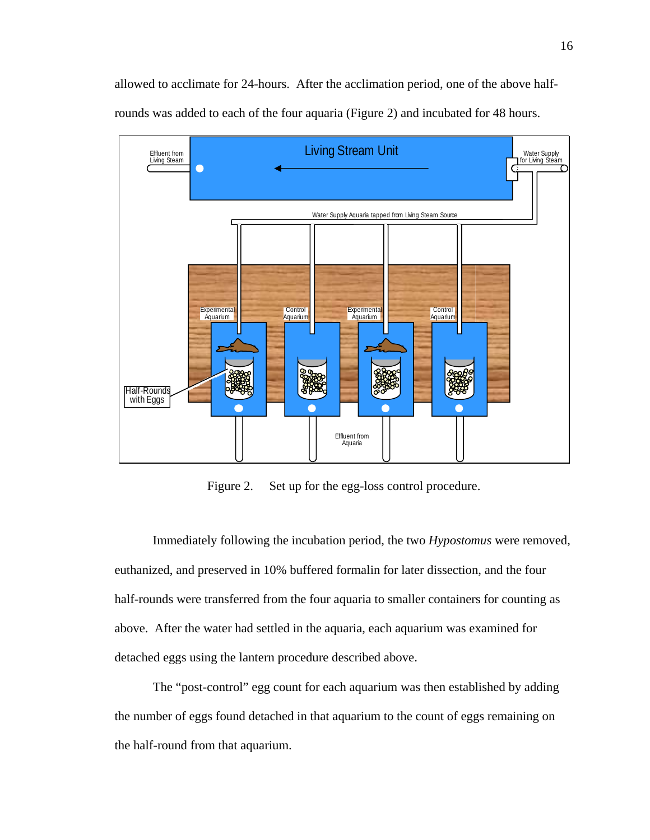allowed to acclimate for 24-hours. After the acclimation period, one of the above halfrounds was added to each of the four aquaria (Figure 2) and incubated for 48 hours.



Figure 2. Set up for the egg-loss control procedure.

Immediately following the incubation period, the two *Hypostomus* were removed, euthanized, and preserved in 10% buffered formalin for later dissection, and the four half-rounds were transferred from the four aquaria to smaller containers for counting as above. After the water had settled in the aquaria, each aquarium was examined for detached eggs using the lantern procedure described above.

The "post-control" egg count for each aquarium was then established by adding the number of eggs found detached in that aquarium to the count of eggs remaining on the half-round from that aquarium.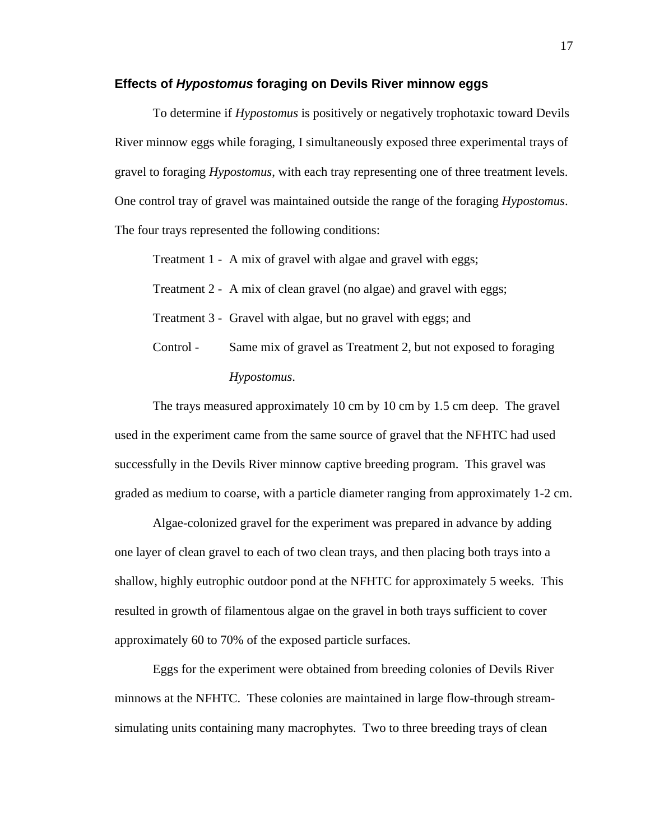#### **Effects of** *Hypostomus* **foraging on Devils River minnow eggs**

To determine if *Hypostomus* is positively or negatively trophotaxic toward Devils River minnow eggs while foraging, I simultaneously exposed three experimental trays of gravel to foraging *Hypostomus*, with each tray representing one of three treatment levels. One control tray of gravel was maintained outside the range of the foraging *Hypostomus*. The four trays represented the following conditions:

Treatment 1 - A mix of gravel with algae and gravel with eggs;

Treatment 2 - A mix of clean gravel (no algae) and gravel with eggs;

Treatment 3 - Gravel with algae, but no gravel with eggs; and

Control - Same mix of gravel as Treatment 2, but not exposed to foraging *Hypostomus*.

The trays measured approximately 10 cm by 10 cm by 1.5 cm deep. The gravel used in the experiment came from the same source of gravel that the NFHTC had used successfully in the Devils River minnow captive breeding program. This gravel was graded as medium to coarse, with a particle diameter ranging from approximately 1-2 cm.

Algae-colonized gravel for the experiment was prepared in advance by adding one layer of clean gravel to each of two clean trays, and then placing both trays into a shallow, highly eutrophic outdoor pond at the NFHTC for approximately 5 weeks. This resulted in growth of filamentous algae on the gravel in both trays sufficient to cover approximately 60 to 70% of the exposed particle surfaces.

Eggs for the experiment were obtained from breeding colonies of Devils River minnows at the NFHTC. These colonies are maintained in large flow-through streamsimulating units containing many macrophytes. Two to three breeding trays of clean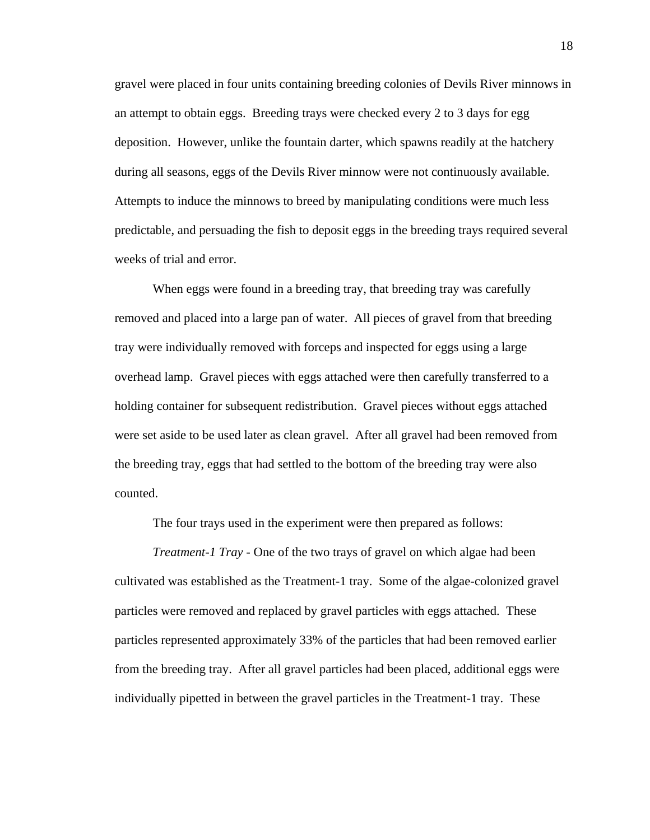gravel were placed in four units containing breeding colonies of Devils River minnows in an attempt to obtain eggs. Breeding trays were checked every 2 to 3 days for egg deposition. However, unlike the fountain darter, which spawns readily at the hatchery during all seasons, eggs of the Devils River minnow were not continuously available. Attempts to induce the minnows to breed by manipulating conditions were much less predictable, and persuading the fish to deposit eggs in the breeding trays required several weeks of trial and error.

When eggs were found in a breeding tray, that breeding tray was carefully removed and placed into a large pan of water. All pieces of gravel from that breeding tray were individually removed with forceps and inspected for eggs using a large overhead lamp. Gravel pieces with eggs attached were then carefully transferred to a holding container for subsequent redistribution. Gravel pieces without eggs attached were set aside to be used later as clean gravel. After all gravel had been removed from the breeding tray, eggs that had settled to the bottom of the breeding tray were also counted.

The four trays used in the experiment were then prepared as follows:

*Treatment-1 Tray* - One of the two trays of gravel on which algae had been cultivated was established as the Treatment-1 tray. Some of the algae-colonized gravel particles were removed and replaced by gravel particles with eggs attached. These particles represented approximately 33% of the particles that had been removed earlier from the breeding tray. After all gravel particles had been placed, additional eggs were individually pipetted in between the gravel particles in the Treatment-1 tray. These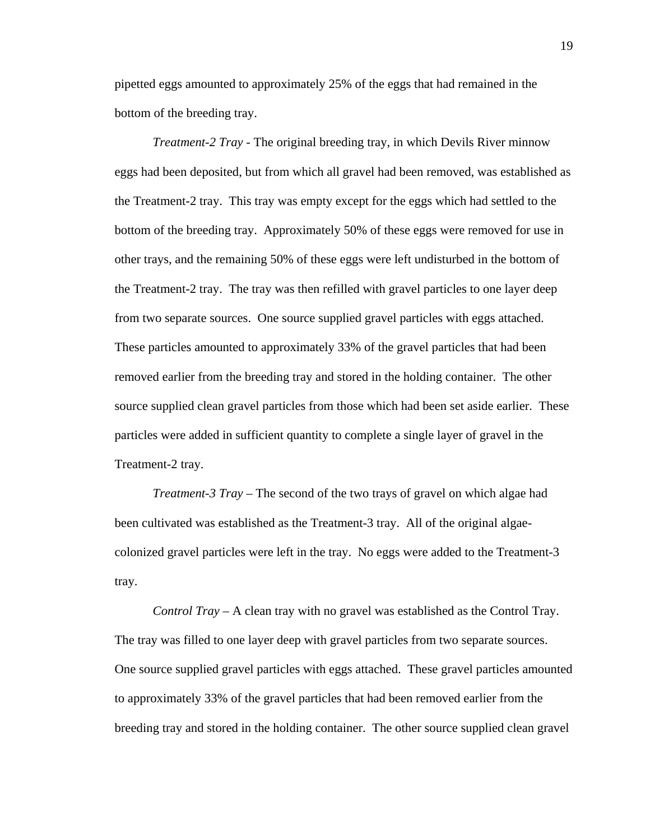pipetted eggs amounted to approximately 25% of the eggs that had remained in the bottom of the breeding tray.

*Treatment-2 Tray* - The original breeding tray, in which Devils River minnow eggs had been deposited, but from which all gravel had been removed, was established as the Treatment-2 tray. This tray was empty except for the eggs which had settled to the bottom of the breeding tray. Approximately 50% of these eggs were removed for use in other trays, and the remaining 50% of these eggs were left undisturbed in the bottom of the Treatment-2 tray. The tray was then refilled with gravel particles to one layer deep from two separate sources. One source supplied gravel particles with eggs attached. These particles amounted to approximately 33% of the gravel particles that had been removed earlier from the breeding tray and stored in the holding container. The other source supplied clean gravel particles from those which had been set aside earlier. These particles were added in sufficient quantity to complete a single layer of gravel in the Treatment-2 tray.

*Treatment-3 Tray* – The second of the two trays of gravel on which algae had been cultivated was established as the Treatment-3 tray. All of the original algaecolonized gravel particles were left in the tray. No eggs were added to the Treatment-3 tray.

*Control Tray* – A clean tray with no gravel was established as the Control Tray. The tray was filled to one layer deep with gravel particles from two separate sources. One source supplied gravel particles with eggs attached. These gravel particles amounted to approximately 33% of the gravel particles that had been removed earlier from the breeding tray and stored in the holding container. The other source supplied clean gravel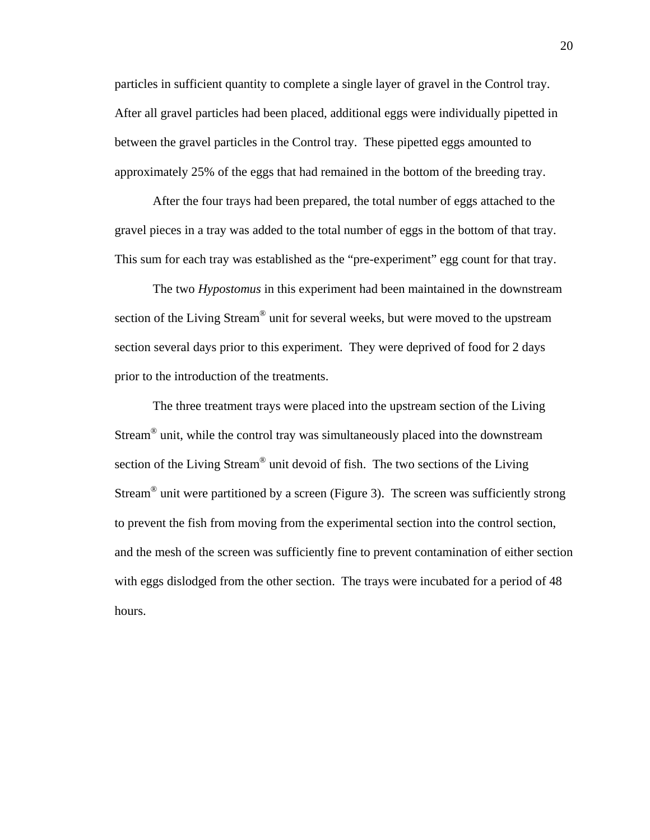particles in sufficient quantity to complete a single layer of gravel in the Control tray. After all gravel particles had been placed, additional eggs were individually pipetted in between the gravel particles in the Control tray. These pipetted eggs amounted to approximately 25% of the eggs that had remained in the bottom of the breeding tray.

After the four trays had been prepared, the total number of eggs attached to the gravel pieces in a tray was added to the total number of eggs in the bottom of that tray. This sum for each tray was established as the "pre-experiment" egg count for that tray.

The two *Hypostomus* in this experiment had been maintained in the downstream section of the Living Stream<sup>®</sup> unit for several weeks, but were moved to the upstream section several days prior to this experiment. They were deprived of food for 2 days prior to the introduction of the treatments.

The three treatment trays were placed into the upstream section of the Living Stream® unit, while the control tray was simultaneously placed into the downstream section of the Living Stream® unit devoid of fish. The two sections of the Living Stream<sup>®</sup> unit were partitioned by a screen (Figure 3). The screen was sufficiently strong to prevent the fish from moving from the experimental section into the control section, and the mesh of the screen was sufficiently fine to prevent contamination of either section with eggs dislodged from the other section. The trays were incubated for a period of 48 hours.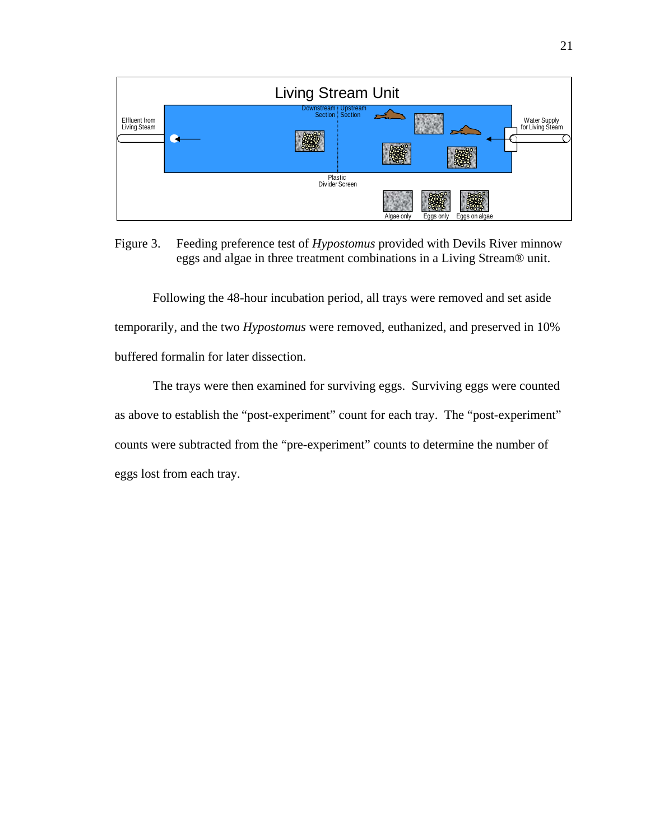

Figure 3. Feeding preference test of *Hypostomus* provided with Devils River minnow eggs and algae in three treatment combinations in a Living Stream® unit.

Following the 48-hour incubation period, all trays were removed and set aside temporarily, and the two *Hypostomus* were removed, euthanized, and preserved in 10% buffered formalin for later dissection.

The trays were then examined for surviving eggs. Surviving eggs were counted as above to establish the "post-experiment" count for each tray. The "post-experiment" counts were subtracted from the "pre-experiment" counts to determine the number of eggs lost from each tray.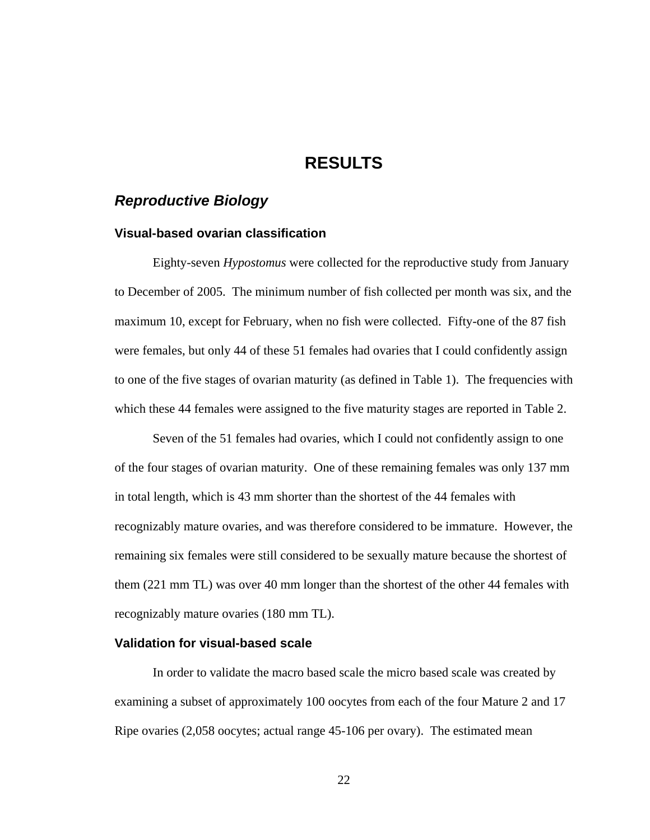## **RESULTS**

## *Reproductive Biology*

#### **Visual-based ovarian classification**

Eighty-seven *Hypostomus* were collected for the reproductive study from January to December of 2005. The minimum number of fish collected per month was six, and the maximum 10, except for February, when no fish were collected. Fifty-one of the 87 fish were females, but only 44 of these 51 females had ovaries that I could confidently assign to one of the five stages of ovarian maturity (as defined in Table 1). The frequencies with which these 44 females were assigned to the five maturity stages are reported in Table 2.

Seven of the 51 females had ovaries, which I could not confidently assign to one of the four stages of ovarian maturity. One of these remaining females was only 137 mm in total length, which is 43 mm shorter than the shortest of the 44 females with recognizably mature ovaries, and was therefore considered to be immature. However, the remaining six females were still considered to be sexually mature because the shortest of them (221 mm TL) was over 40 mm longer than the shortest of the other 44 females with recognizably mature ovaries (180 mm TL).

### **Validation for visual-based scale**

In order to validate the macro based scale the micro based scale was created by examining a subset of approximately 100 oocytes from each of the four Mature 2 and 17 Ripe ovaries (2,058 oocytes; actual range 45-106 per ovary). The estimated mean

22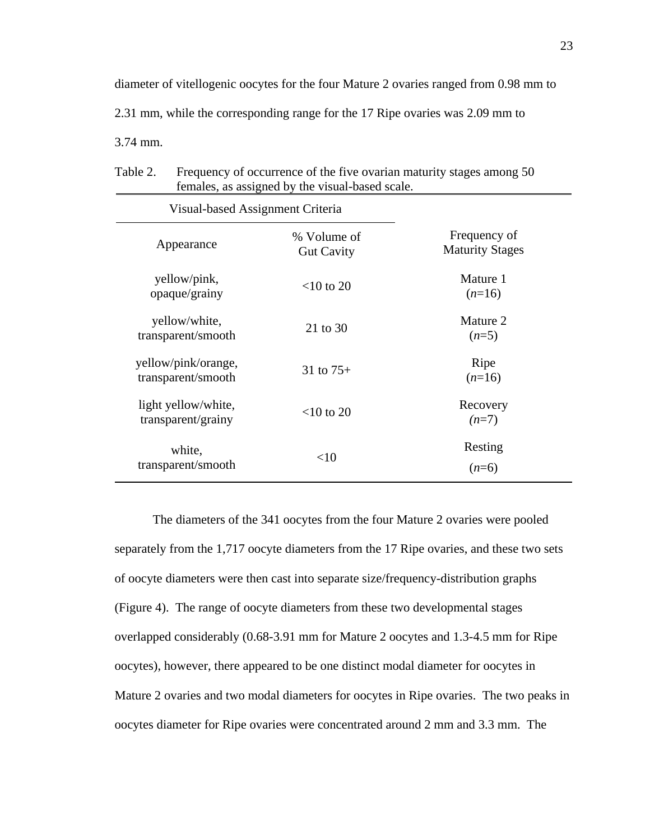diameter of vitellogenic oocytes for the four Mature 2 ovaries ranged from 0.98 mm to 2.31 mm, while the corresponding range for the 17 Ripe ovaries was 2.09 mm to 3.74 mm.

| Table 2. | Frequency of occurrence of the five ovarian maturity stages among 50 |
|----------|----------------------------------------------------------------------|
|          | females, as assigned by the visual-based scale.                      |

| Visual-based Assignment Criteria          |                                  |                                        |  |
|-------------------------------------------|----------------------------------|----------------------------------------|--|
| Appearance                                | % Volume of<br><b>Gut Cavity</b> | Frequency of<br><b>Maturity Stages</b> |  |
| yellow/pink,<br>opaque/grainy             | $<$ 10 to 20                     | Mature 1<br>$(n=16)$                   |  |
| yellow/white,<br>transparent/smooth       | 21 to 30                         | Mature 2<br>$(n=5)$                    |  |
| yellow/pink/orange,<br>transparent/smooth | 31 to $75+$                      | Ripe<br>$(n=16)$                       |  |
| light yellow/white,<br>transparent/grainy | $<$ 10 to 20                     | Recovery<br>$(n=7)$                    |  |
| white,<br>transparent/smooth              | $<$ 10                           | Resting<br>$(n=6)$                     |  |

The diameters of the 341 oocytes from the four Mature 2 ovaries were pooled separately from the 1,717 oocyte diameters from the 17 Ripe ovaries, and these two sets of oocyte diameters were then cast into separate size/frequency-distribution graphs (Figure 4). The range of oocyte diameters from these two developmental stages overlapped considerably (0.68-3.91 mm for Mature 2 oocytes and 1.3-4.5 mm for Ripe oocytes), however, there appeared to be one distinct modal diameter for oocytes in Mature 2 ovaries and two modal diameters for oocytes in Ripe ovaries. The two peaks in oocytes diameter for Ripe ovaries were concentrated around 2 mm and 3.3 mm. The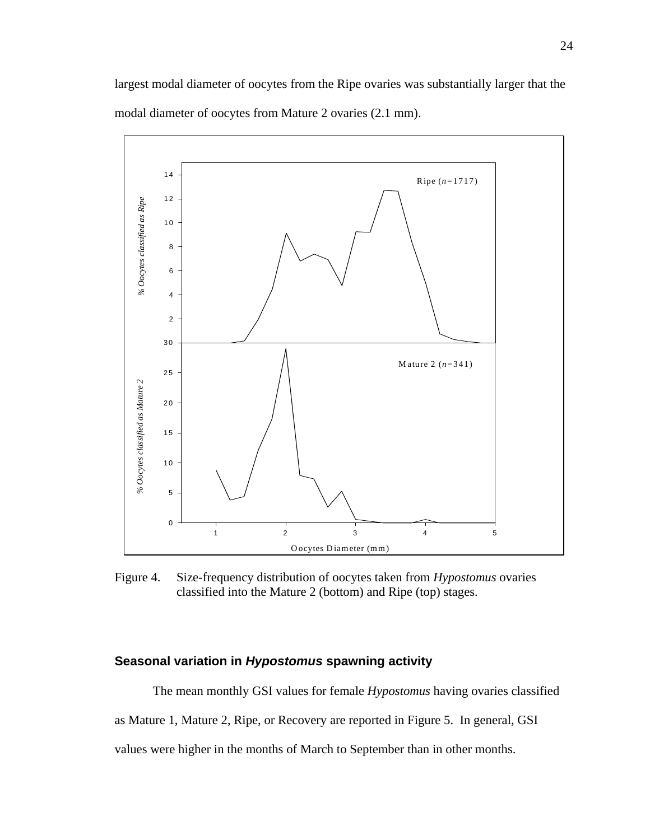largest modal diameter of oocytes from the Ripe ovaries was substantially larger that the modal diameter of oocytes from Mature 2 ovaries (2.1 mm).



Figure 4. Size-frequency distribution of oocytes taken from *Hypostomus* ovaries classified into the Mature 2 (bottom) and Ripe (top) stages.

### **Seasonal variation in** *Hypostomus* **spawning activity**

The mean monthly GSI values for female *Hypostomus* having ovaries classified as Mature 1, Mature 2, Ripe, or Recovery are reported in Figure 5. In general, GSI values were higher in the months of March to September than in other months.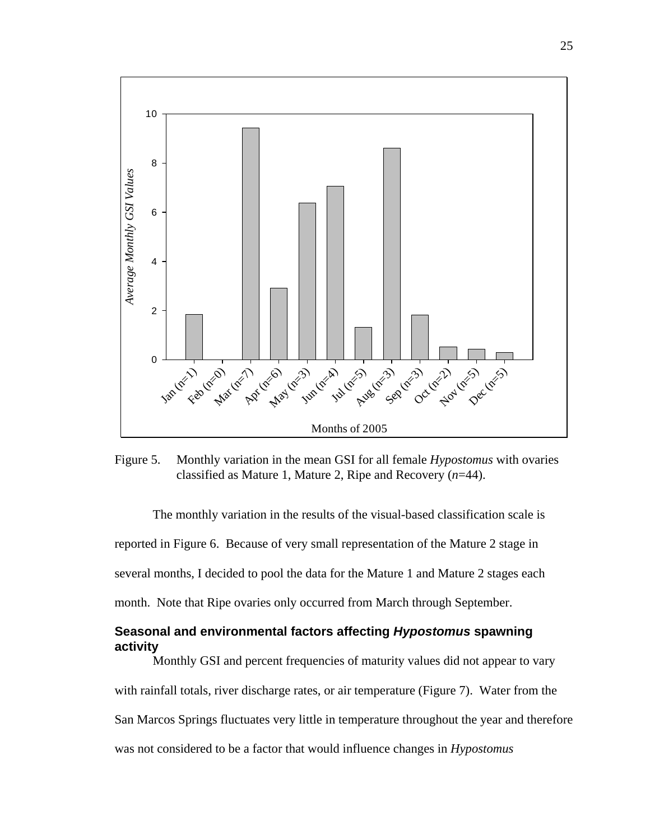

Figure 5. Monthly variation in the mean GSI for all female *Hypostomus* with ovaries classified as Mature 1, Mature 2, Ripe and Recovery (*n*=44).

The monthly variation in the results of the visual-based classification scale is reported in Figure 6. Because of very small representation of the Mature 2 stage in several months, I decided to pool the data for the Mature 1 and Mature 2 stages each month. Note that Ripe ovaries only occurred from March through September.

### **Seasonal and environmental factors affecting** *Hypostomus* **spawning activity**

Monthly GSI and percent frequencies of maturity values did not appear to vary with rainfall totals, river discharge rates, or air temperature (Figure 7). Water from the San Marcos Springs fluctuates very little in temperature throughout the year and therefore was not considered to be a factor that would influence changes in *Hypostomus*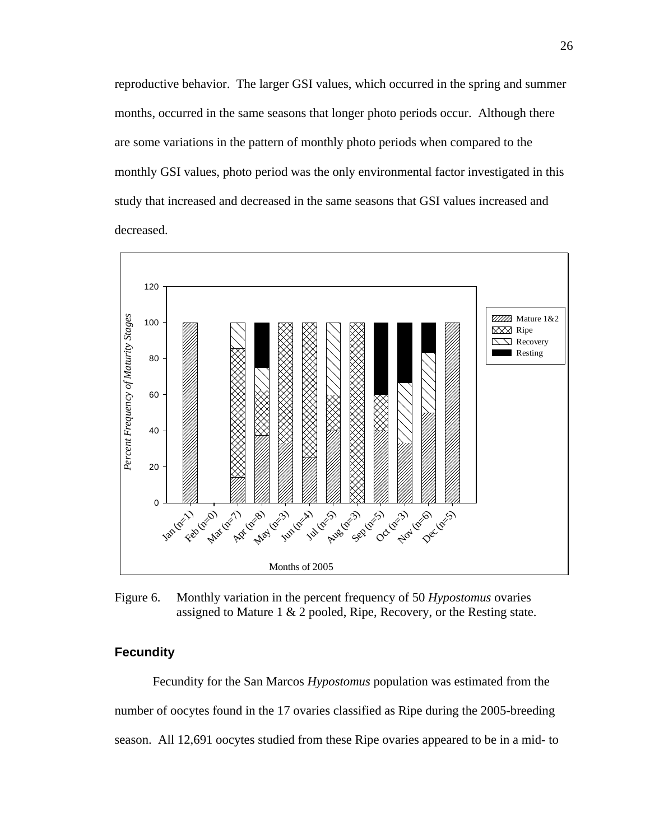reproductive behavior. The larger GSI values, which occurred in the spring and summer months, occurred in the same seasons that longer photo periods occur. Although there are some variations in the pattern of monthly photo periods when compared to the monthly GSI values, photo period was the only environmental factor investigated in this study that increased and decreased in the same seasons that GSI values increased and decreased.



Figure 6. Monthly variation in the percent frequency of 50 *Hypostomus* ovaries assigned to Mature 1 & 2 pooled, Ripe, Recovery, or the Resting state.

### **Fecundity**

Fecundity for the San Marcos *Hypostomus* population was estimated from the number of oocytes found in the 17 ovaries classified as Ripe during the 2005-breeding season. All 12,691 oocytes studied from these Ripe ovaries appeared to be in a mid- to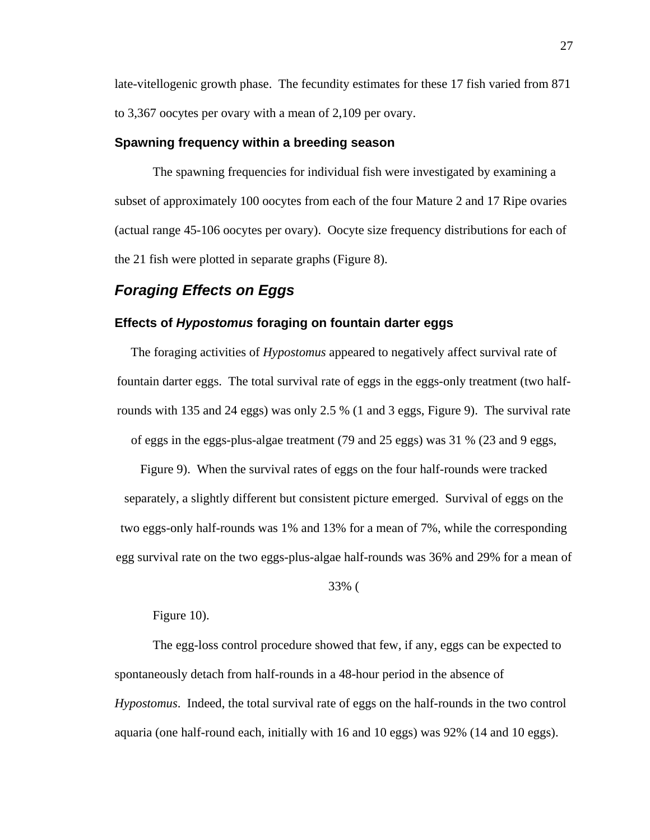late-vitellogenic growth phase. The fecundity estimates for these 17 fish varied from 871 to 3,367 oocytes per ovary with a mean of 2,109 per ovary.

#### **Spawning frequency within a breeding season**

The spawning frequencies for individual fish were investigated by examining a subset of approximately 100 oocytes from each of the four Mature 2 and 17 Ripe ovaries (actual range 45-106 oocytes per ovary). Oocyte size frequency distributions for each of the 21 fish were plotted in separate graphs (Figure 8).

## *Foraging Effects on Eggs*

#### **Effects of** *Hypostomus* **foraging on fountain darter eggs**

The foraging activities of *Hypostomus* appeared to negatively affect survival rate of fountain darter eggs. The total survival rate of eggs in the eggs-only treatment (two halfrounds with 135 and 24 eggs) was only 2.5 % (1 and 3 eggs, Figure 9). The survival rate of eggs in the eggs-plus-algae treatment (79 and 25 eggs) was 31 % (23 and 9 eggs,

Figure 9). When the survival rates of eggs on the four half-rounds were tracked separately, a slightly different but consistent picture emerged. Survival of eggs on the two eggs-only half-rounds was 1% and 13% for a mean of 7%, while the corresponding egg survival rate on the two eggs-plus-algae half-rounds was 36% and 29% for a mean of

33% (

Figure 10).

The egg-loss control procedure showed that few, if any, eggs can be expected to spontaneously detach from half-rounds in a 48-hour period in the absence of *Hypostomus*. Indeed, the total survival rate of eggs on the half-rounds in the two control aquaria (one half-round each, initially with 16 and 10 eggs) was 92% (14 and 10 eggs).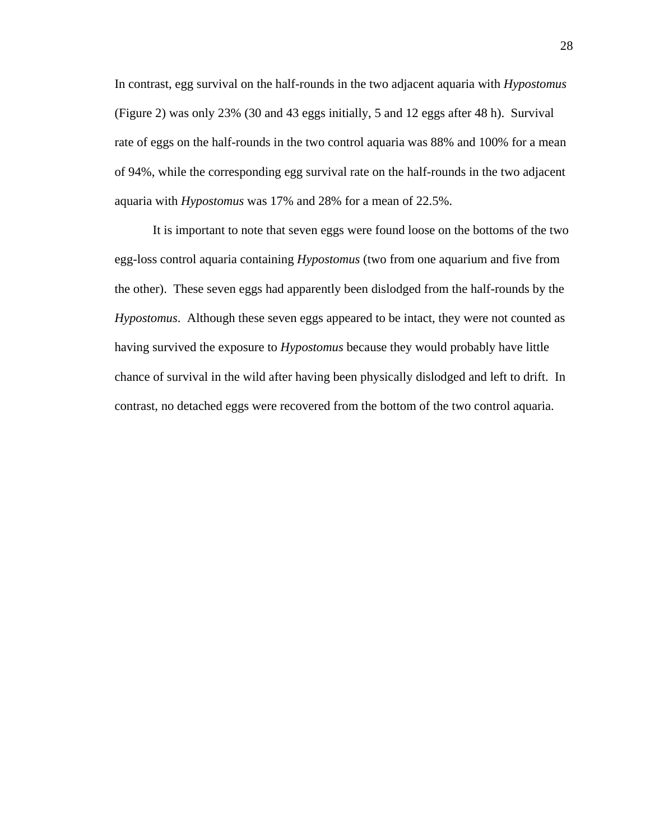In contrast, egg survival on the half-rounds in the two adjacent aquaria with *Hypostomus* (Figure 2) was only 23% (30 and 43 eggs initially, 5 and 12 eggs after 48 h). Survival rate of eggs on the half-rounds in the two control aquaria was 88% and 100% for a mean of 94%, while the corresponding egg survival rate on the half-rounds in the two adjacent aquaria with *Hypostomus* was 17% and 28% for a mean of 22.5%.

It is important to note that seven eggs were found loose on the bottoms of the two egg-loss control aquaria containing *Hypostomus* (two from one aquarium and five from the other). These seven eggs had apparently been dislodged from the half-rounds by the *Hypostomus*. Although these seven eggs appeared to be intact, they were not counted as having survived the exposure to *Hypostomus* because they would probably have little chance of survival in the wild after having been physically dislodged and left to drift. In contrast, no detached eggs were recovered from the bottom of the two control aquaria.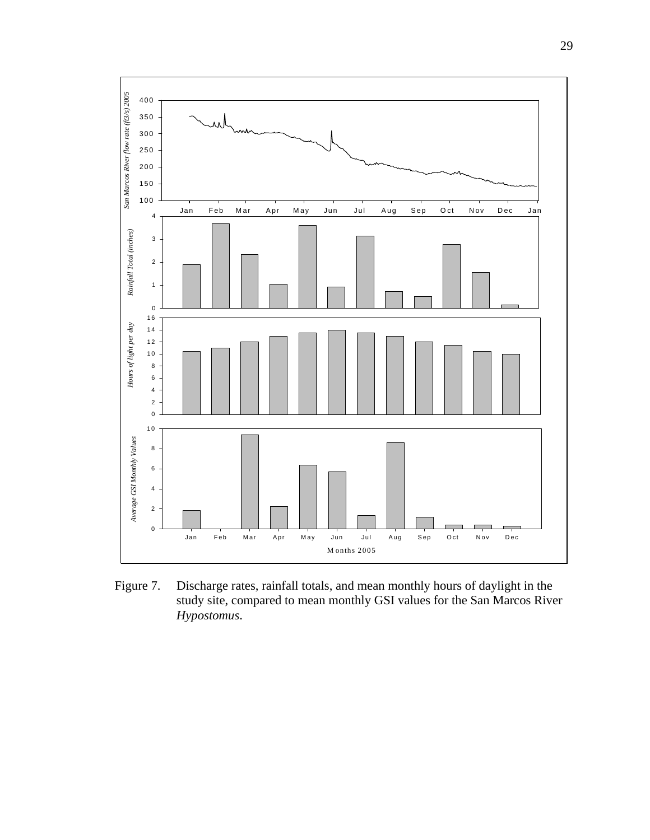

Figure 7. Discharge rates, rainfall totals, and mean monthly hours of daylight in the study site, compared to mean monthly GSI values for the San Marcos River *Hypostomus*.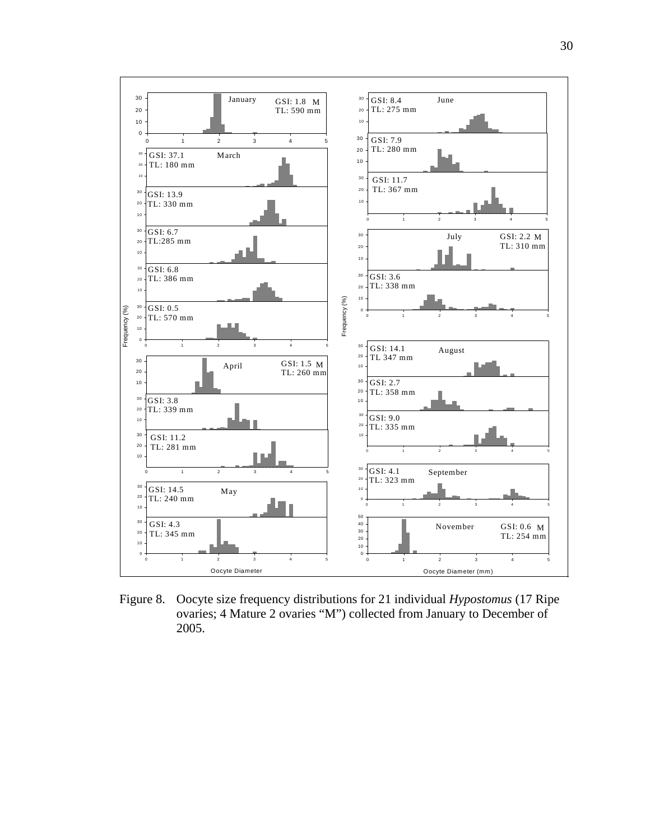

Figure 8. Oocyte size frequency distributions for 21 individual *Hypostomus* (17 Ripe ovaries; 4 Mature 2 ovaries "M") collected from January to December of 2005.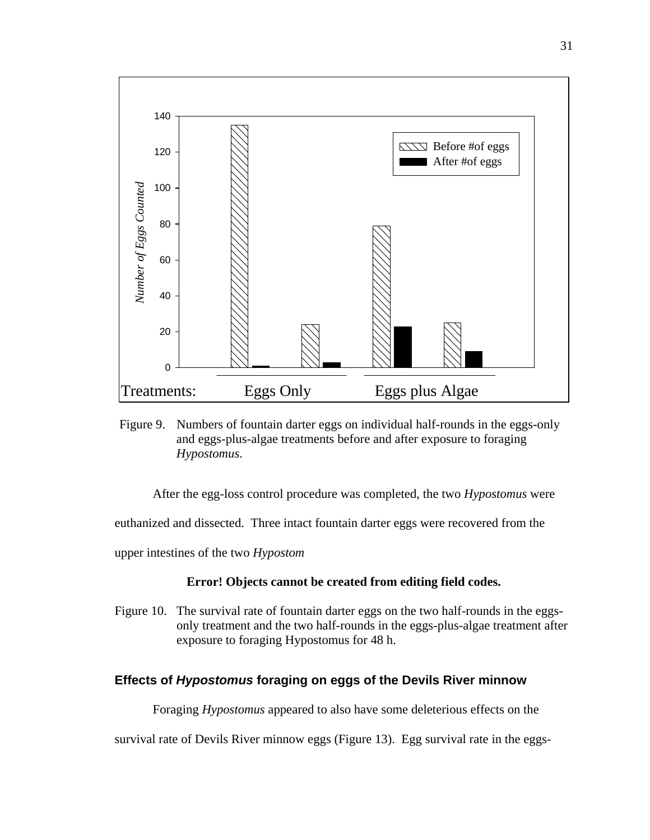

Figure 9. Numbers of fountain darter eggs on individual half-rounds in the eggs-only and eggs-plus-algae treatments before and after exposure to foraging *Hypostomus*.

After the egg-loss control procedure was completed, the two *Hypostomus* were

euthanized and dissected. Three intact fountain darter eggs were recovered from the

upper intestines of the two *Hypostom* 

#### **Error! Objects cannot be created from editing field codes.**

Figure 10. The survival rate of fountain darter eggs on the two half-rounds in the eggsonly treatment and the two half-rounds in the eggs-plus-algae treatment after exposure to foraging Hypostomus for 48 h.

#### **Effects of** *Hypostomus* **foraging on eggs of the Devils River minnow**

Foraging *Hypostomus* appeared to also have some deleterious effects on the

survival rate of Devils River minnow eggs (Figure 13). Egg survival rate in the eggs-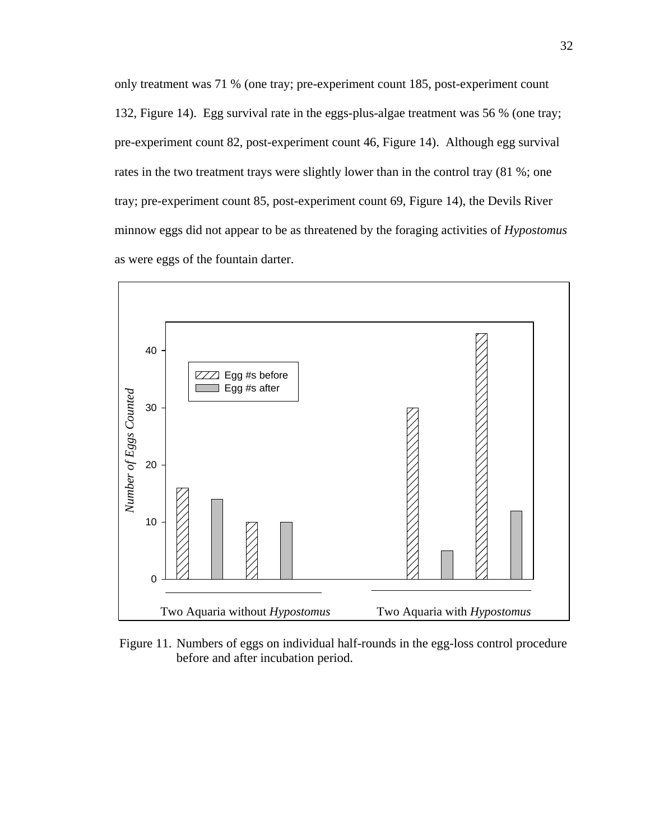only treatment was 71 % (one tray; pre-experiment count 185, post-experiment count 132, Figure 14). Egg survival rate in the eggs-plus-algae treatment was 56 % (one tray; pre-experiment count 82, post-experiment count 46, Figure 14). Although egg survival rates in the two treatment trays were slightly lower than in the control tray (81 %; one tray; pre-experiment count 85, post-experiment count 69, Figure 14), the Devils River minnow eggs did not appear to be as threatened by the foraging activities of *Hypostomus* as were eggs of the fountain darter.



Figure 11. Numbers of eggs on individual half-rounds in the egg-loss control procedure before and after incubation period.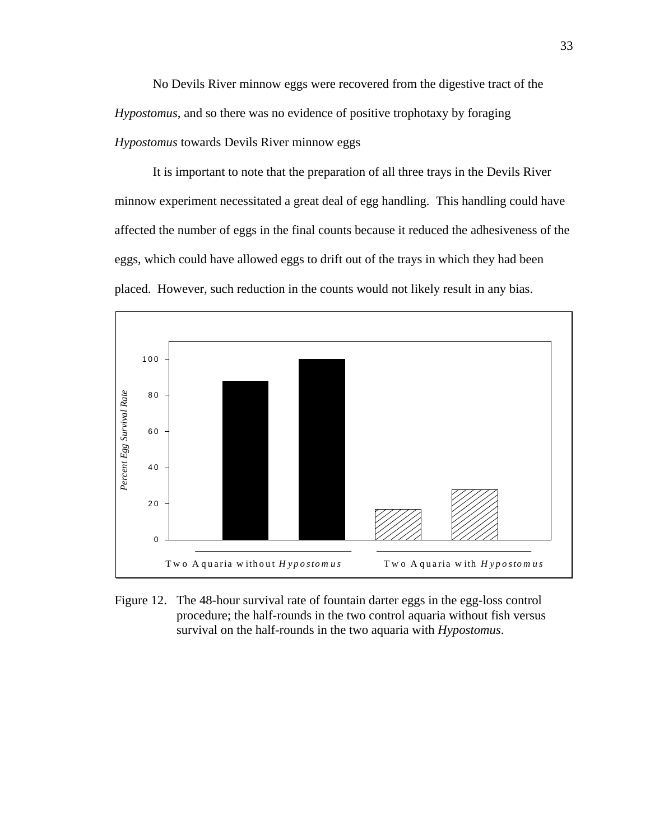No Devils River minnow eggs were recovered from the digestive tract of the *Hypostomus*, and so there was no evidence of positive trophotaxy by foraging *Hypostomus* towards Devils River minnow eggs

It is important to note that the preparation of all three trays in the Devils River minnow experiment necessitated a great deal of egg handling. This handling could have affected the number of eggs in the final counts because it reduced the adhesiveness of the eggs, which could have allowed eggs to drift out of the trays in which they had been placed. However, such reduction in the counts would not likely result in any bias.



Figure 12. The 48-hour survival rate of fountain darter eggs in the egg-loss control procedure; the half-rounds in the two control aquaria without fish versus survival on the half-rounds in the two aquaria with *Hypostomus*.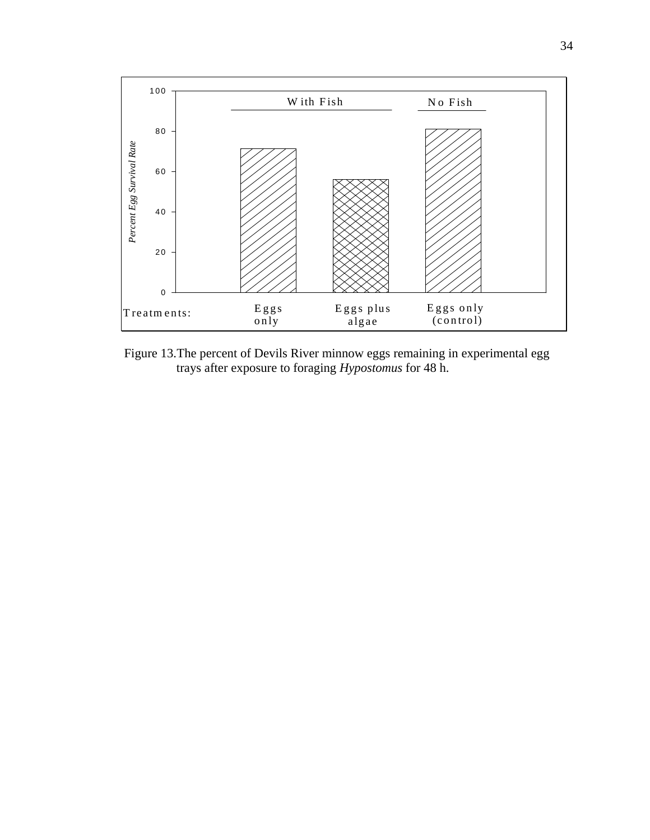

Figure 13. The percent of Devils River minnow eggs remaining in experimental egg trays after exposure to foraging *Hypostomus* for 48 h.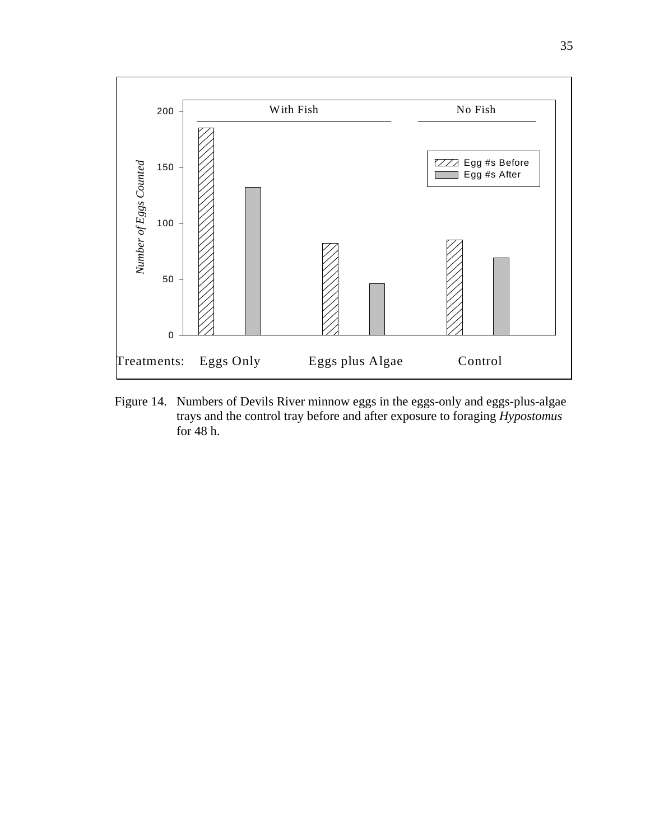

Figure 14. Numbers of Devils River minnow eggs in the eggs-only and eggs-plus-algae trays and the control tray before and after exposure to foraging *Hypostomus* for 48 h.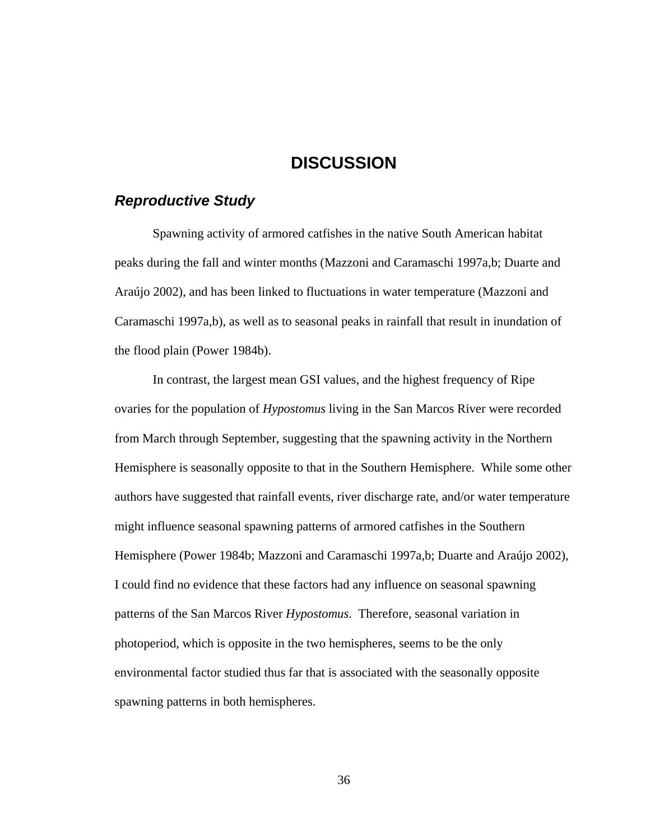## **DISCUSSION**

## *Reproductive Study*

Spawning activity of armored catfishes in the native South American habitat peaks during the fall and winter months (Mazzoni and Caramaschi 1997a,b; Duarte and Araújo 2002), and has been linked to fluctuations in water temperature (Mazzoni and Caramaschi 1997a,b), as well as to seasonal peaks in rainfall that result in inundation of the flood plain (Power 1984b).

In contrast, the largest mean GSI values, and the highest frequency of Ripe ovaries for the population of *Hypostomus* living in the San Marcos River were recorded from March through September, suggesting that the spawning activity in the Northern Hemisphere is seasonally opposite to that in the Southern Hemisphere. While some other authors have suggested that rainfall events, river discharge rate, and/or water temperature might influence seasonal spawning patterns of armored catfishes in the Southern Hemisphere (Power 1984b; Mazzoni and Caramaschi 1997a,b; Duarte and Araújo 2002), I could find no evidence that these factors had any influence on seasonal spawning patterns of the San Marcos River *Hypostomus*. Therefore, seasonal variation in photoperiod, which is opposite in the two hemispheres, seems to be the only environmental factor studied thus far that is associated with the seasonally opposite spawning patterns in both hemispheres.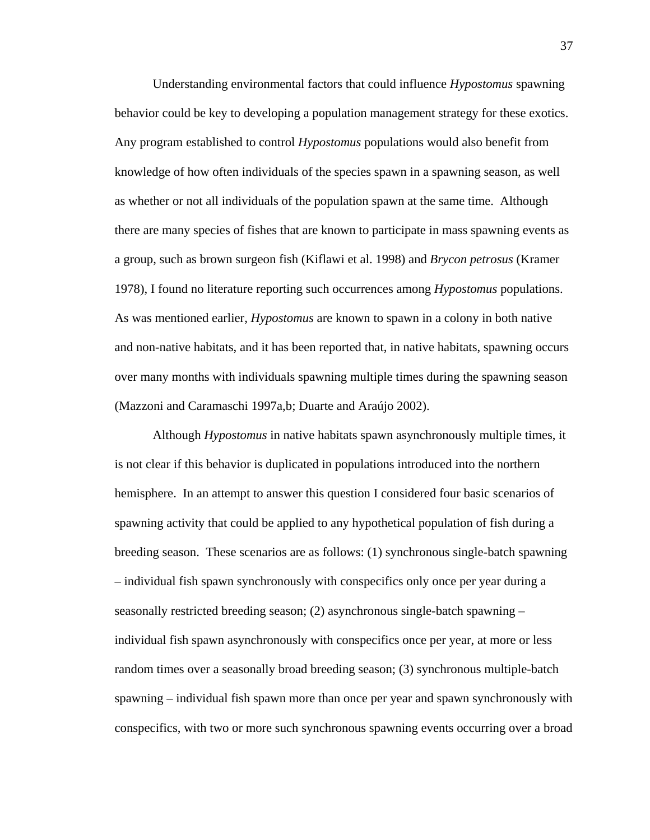Understanding environmental factors that could influence *Hypostomus* spawning behavior could be key to developing a population management strategy for these exotics. Any program established to control *Hypostomus* populations would also benefit from knowledge of how often individuals of the species spawn in a spawning season, as well as whether or not all individuals of the population spawn at the same time. Although there are many species of fishes that are known to participate in mass spawning events as a group, such as brown surgeon fish (Kiflawi et al. 1998) and *Brycon petrosus* (Kramer 1978), I found no literature reporting such occurrences among *Hypostomus* populations. As was mentioned earlier, *Hypostomus* are known to spawn in a colony in both native and non-native habitats, and it has been reported that, in native habitats, spawning occurs over many months with individuals spawning multiple times during the spawning season (Mazzoni and Caramaschi 1997a,b; Duarte and Araújo 2002).

Although *Hypostomus* in native habitats spawn asynchronously multiple times, it is not clear if this behavior is duplicated in populations introduced into the northern hemisphere. In an attempt to answer this question I considered four basic scenarios of spawning activity that could be applied to any hypothetical population of fish during a breeding season. These scenarios are as follows: (1) synchronous single-batch spawning – individual fish spawn synchronously with conspecifics only once per year during a seasonally restricted breeding season; (2) asynchronous single-batch spawning – individual fish spawn asynchronously with conspecifics once per year, at more or less random times over a seasonally broad breeding season; (3) synchronous multiple-batch spawning – individual fish spawn more than once per year and spawn synchronously with conspecifics, with two or more such synchronous spawning events occurring over a broad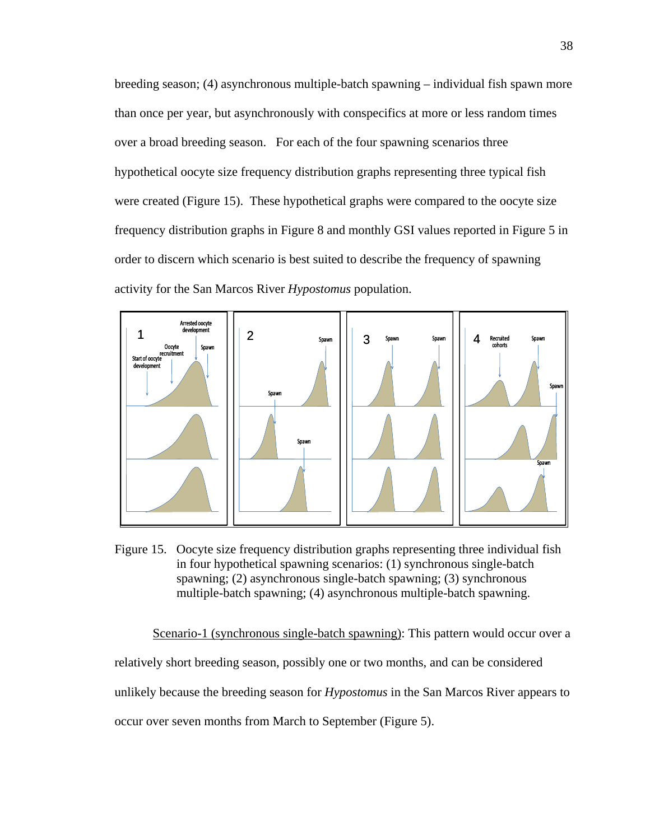breeding season; (4) asynchronous multiple-batch spawning – individual fish spawn more than once per year, but asynchronously with conspecifics at more or less random times over a broad breeding season. For each of the four spawning scenarios three hypothetical oocyte size frequency distribution graphs representing three typical fish were created (Figure 15). These hypothetical graphs were compared to the oocyte size frequency distribution graphs in Figure 8 and monthly GSI values reported in Figure 5 in order to discern which scenario is best suited to describe the frequency of spawning activity for the San Marcos River *Hypostomus* population.



Figure 15. Oocyte size frequency distribution graphs representing three individual fish in four hypothetical spawning scenarios: (1) synchronous single-batch spawning; (2) asynchronous single-batch spawning; (3) synchronous multiple-batch spawning; (4) asynchronous multiple-batch spawning.

Scenario-1 (synchronous single-batch spawning): This pattern would occur over a relatively short breeding season, possibly one or two months, and can be considered unlikely because the breeding season for *Hypostomus* in the San Marcos River appears to occur over seven months from March to September (Figure 5).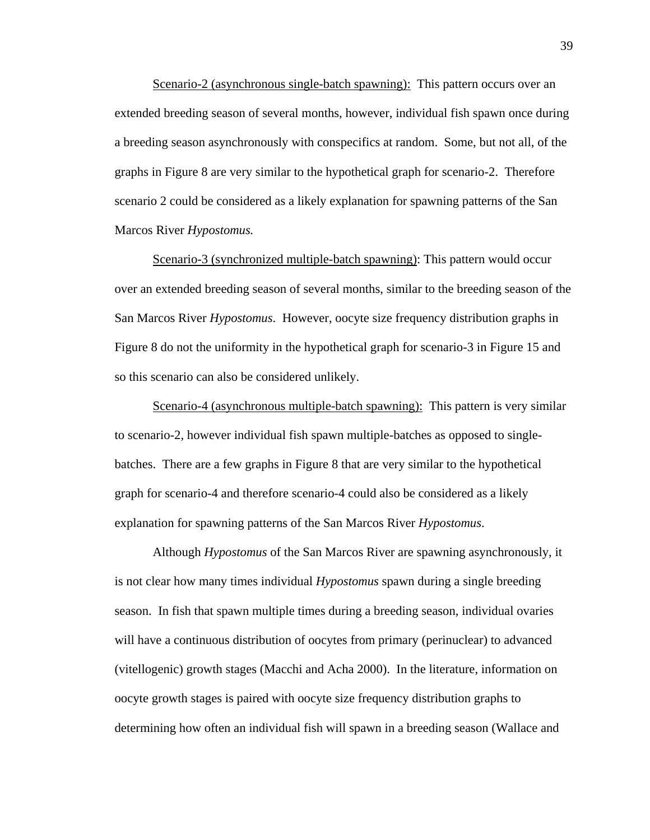Scenario-2 (asynchronous single-batch spawning): This pattern occurs over an extended breeding season of several months, however, individual fish spawn once during a breeding season asynchronously with conspecifics at random. Some, but not all, of the graphs in Figure 8 are very similar to the hypothetical graph for scenario-2. Therefore scenario 2 could be considered as a likely explanation for spawning patterns of the San Marcos River *Hypostomus.*

Scenario-3 (synchronized multiple-batch spawning): This pattern would occur over an extended breeding season of several months, similar to the breeding season of the San Marcos River *Hypostomus*. However, oocyte size frequency distribution graphs in Figure 8 do not the uniformity in the hypothetical graph for scenario-3 in Figure 15 and so this scenario can also be considered unlikely.

Scenario-4 (asynchronous multiple-batch spawning): This pattern is very similar to scenario-2, however individual fish spawn multiple-batches as opposed to singlebatches. There are a few graphs in Figure 8 that are very similar to the hypothetical graph for scenario-4 and therefore scenario-4 could also be considered as a likely explanation for spawning patterns of the San Marcos River *Hypostomus*.

Although *Hypostomus* of the San Marcos River are spawning asynchronously, it is not clear how many times individual *Hypostomus* spawn during a single breeding season. In fish that spawn multiple times during a breeding season, individual ovaries will have a continuous distribution of oocytes from primary (perinuclear) to advanced (vitellogenic) growth stages (Macchi and Acha 2000). In the literature, information on oocyte growth stages is paired with oocyte size frequency distribution graphs to determining how often an individual fish will spawn in a breeding season (Wallace and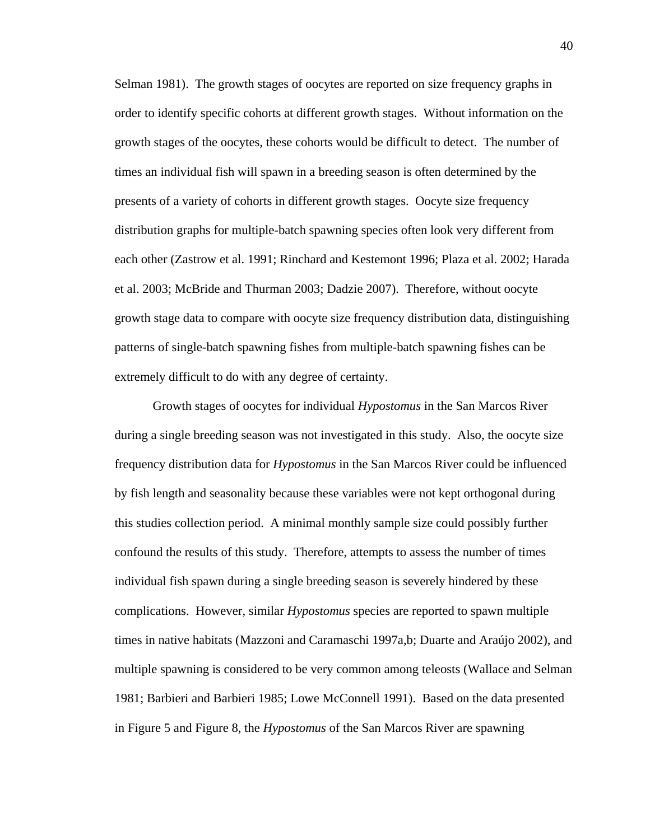Selman 1981). The growth stages of oocytes are reported on size frequency graphs in order to identify specific cohorts at different growth stages. Without information on the growth stages of the oocytes, these cohorts would be difficult to detect. The number of times an individual fish will spawn in a breeding season is often determined by the presents of a variety of cohorts in different growth stages. Oocyte size frequency distribution graphs for multiple-batch spawning species often look very different from each other (Zastrow et al. 1991; Rinchard and Kestemont 1996; Plaza et al. 2002; Harada et al. 2003; McBride and Thurman 2003; Dadzie 2007). Therefore, without oocyte growth stage data to compare with oocyte size frequency distribution data, distinguishing patterns of single-batch spawning fishes from multiple-batch spawning fishes can be extremely difficult to do with any degree of certainty.

Growth stages of oocytes for individual *Hypostomus* in the San Marcos River during a single breeding season was not investigated in this study. Also, the oocyte size frequency distribution data for *Hypostomus* in the San Marcos River could be influenced by fish length and seasonality because these variables were not kept orthogonal during this studies collection period. A minimal monthly sample size could possibly further confound the results of this study. Therefore, attempts to assess the number of times individual fish spawn during a single breeding season is severely hindered by these complications. However, similar *Hypostomus* species are reported to spawn multiple times in native habitats (Mazzoni and Caramaschi 1997a,b; Duarte and Araújo 2002), and multiple spawning is considered to be very common among teleosts (Wallace and Selman 1981; Barbieri and Barbieri 1985; Lowe McConnell 1991). Based on the data presented in Figure 5 and Figure 8, the *Hypostomus* of the San Marcos River are spawning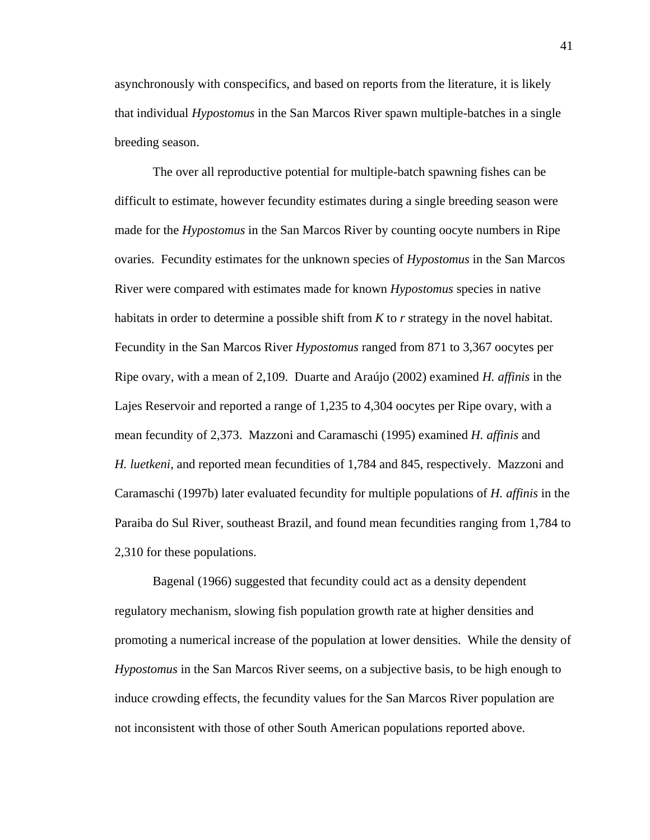asynchronously with conspecifics, and based on reports from the literature, it is likely that individual *Hypostomus* in the San Marcos River spawn multiple-batches in a single breeding season.

The over all reproductive potential for multiple-batch spawning fishes can be difficult to estimate, however fecundity estimates during a single breeding season were made for the *Hypostomus* in the San Marcos River by counting oocyte numbers in Ripe ovaries. Fecundity estimates for the unknown species of *Hypostomus* in the San Marcos River were compared with estimates made for known *Hypostomus* species in native habitats in order to determine a possible shift from *K* to *r* strategy in the novel habitat. Fecundity in the San Marcos River *Hypostomus* ranged from 871 to 3,367 oocytes per Ripe ovary, with a mean of 2,109. Duarte and Araújo (2002) examined *H. affinis* in the Lajes Reservoir and reported a range of 1,235 to 4,304 oocytes per Ripe ovary, with a mean fecundity of 2,373. Mazzoni and Caramaschi (1995) examined *H. affinis* and *H. luetkeni*, and reported mean fecundities of 1,784 and 845, respectively. Mazzoni and Caramaschi (1997b) later evaluated fecundity for multiple populations of *H. affinis* in the Paraiba do Sul River, southeast Brazil, and found mean fecundities ranging from 1,784 to 2,310 for these populations.

Bagenal (1966) suggested that fecundity could act as a density dependent regulatory mechanism, slowing fish population growth rate at higher densities and promoting a numerical increase of the population at lower densities. While the density of *Hypostomus* in the San Marcos River seems, on a subjective basis, to be high enough to induce crowding effects, the fecundity values for the San Marcos River population are not inconsistent with those of other South American populations reported above.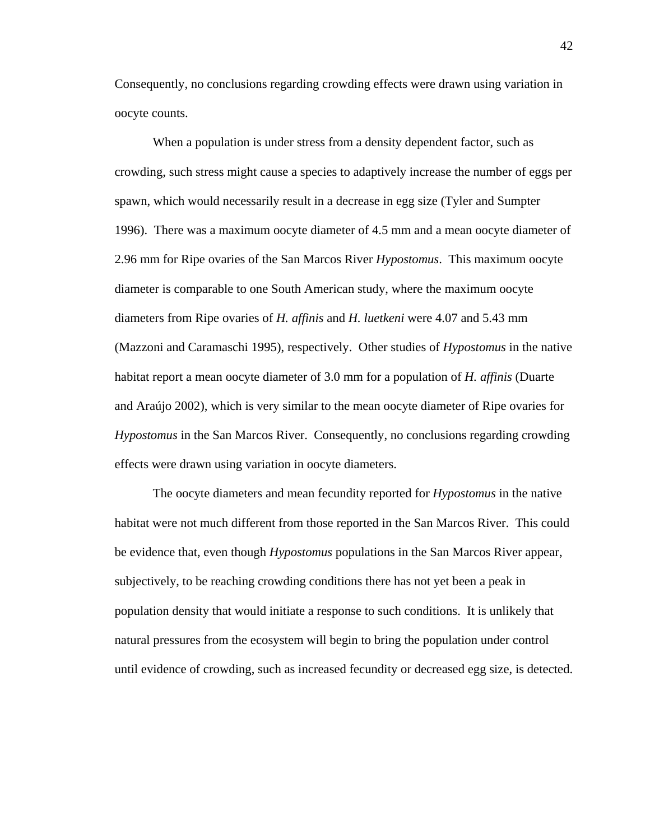Consequently, no conclusions regarding crowding effects were drawn using variation in oocyte counts.

When a population is under stress from a density dependent factor, such as crowding, such stress might cause a species to adaptively increase the number of eggs per spawn, which would necessarily result in a decrease in egg size (Tyler and Sumpter 1996). There was a maximum oocyte diameter of 4.5 mm and a mean oocyte diameter of 2.96 mm for Ripe ovaries of the San Marcos River *Hypostomus*. This maximum oocyte diameter is comparable to one South American study, where the maximum oocyte diameters from Ripe ovaries of *H. affinis* and *H. luetkeni* were 4.07 and 5.43 mm (Mazzoni and Caramaschi 1995), respectively. Other studies of *Hypostomus* in the native habitat report a mean oocyte diameter of 3.0 mm for a population of *H. affinis* (Duarte and Araújo 2002), which is very similar to the mean oocyte diameter of Ripe ovaries for *Hypostomus* in the San Marcos River. Consequently, no conclusions regarding crowding effects were drawn using variation in oocyte diameters.

The oocyte diameters and mean fecundity reported for *Hypostomus* in the native habitat were not much different from those reported in the San Marcos River. This could be evidence that, even though *Hypostomus* populations in the San Marcos River appear, subjectively, to be reaching crowding conditions there has not yet been a peak in population density that would initiate a response to such conditions. It is unlikely that natural pressures from the ecosystem will begin to bring the population under control until evidence of crowding, such as increased fecundity or decreased egg size, is detected.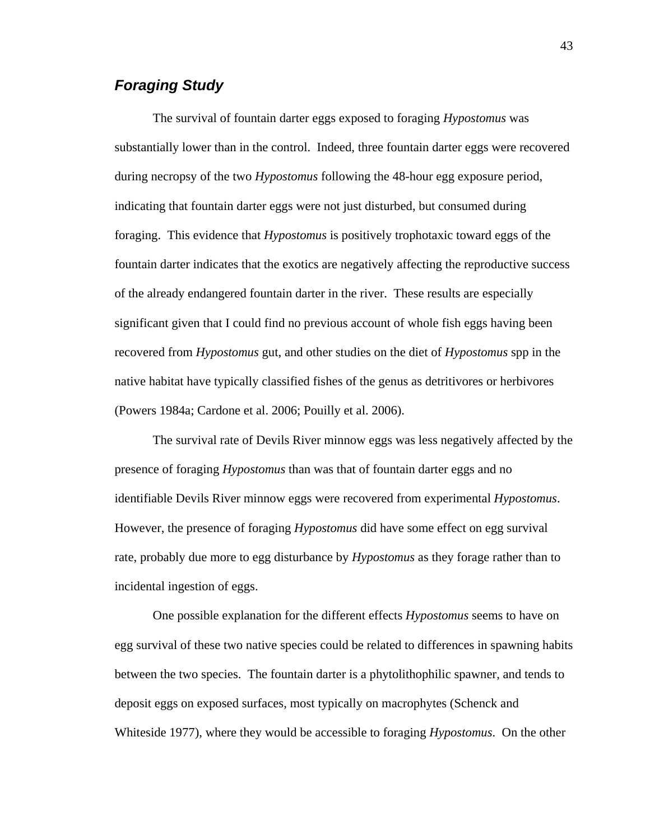## *Foraging Study*

The survival of fountain darter eggs exposed to foraging *Hypostomus* was substantially lower than in the control. Indeed, three fountain darter eggs were recovered during necropsy of the two *Hypostomus* following the 48-hour egg exposure period, indicating that fountain darter eggs were not just disturbed, but consumed during foraging. This evidence that *Hypostomus* is positively trophotaxic toward eggs of the fountain darter indicates that the exotics are negatively affecting the reproductive success of the already endangered fountain darter in the river. These results are especially significant given that I could find no previous account of whole fish eggs having been recovered from *Hypostomus* gut, and other studies on the diet of *Hypostomus* spp in the native habitat have typically classified fishes of the genus as detritivores or herbivores (Powers 1984a; Cardone et al. 2006; Pouilly et al. 2006).

The survival rate of Devils River minnow eggs was less negatively affected by the presence of foraging *Hypostomus* than was that of fountain darter eggs and no identifiable Devils River minnow eggs were recovered from experimental *Hypostomus*. However, the presence of foraging *Hypostomus* did have some effect on egg survival rate, probably due more to egg disturbance by *Hypostomus* as they forage rather than to incidental ingestion of eggs.

One possible explanation for the different effects *Hypostomus* seems to have on egg survival of these two native species could be related to differences in spawning habits between the two species. The fountain darter is a phytolithophilic spawner, and tends to deposit eggs on exposed surfaces, most typically on macrophytes (Schenck and Whiteside 1977), where they would be accessible to foraging *Hypostomus*. On the other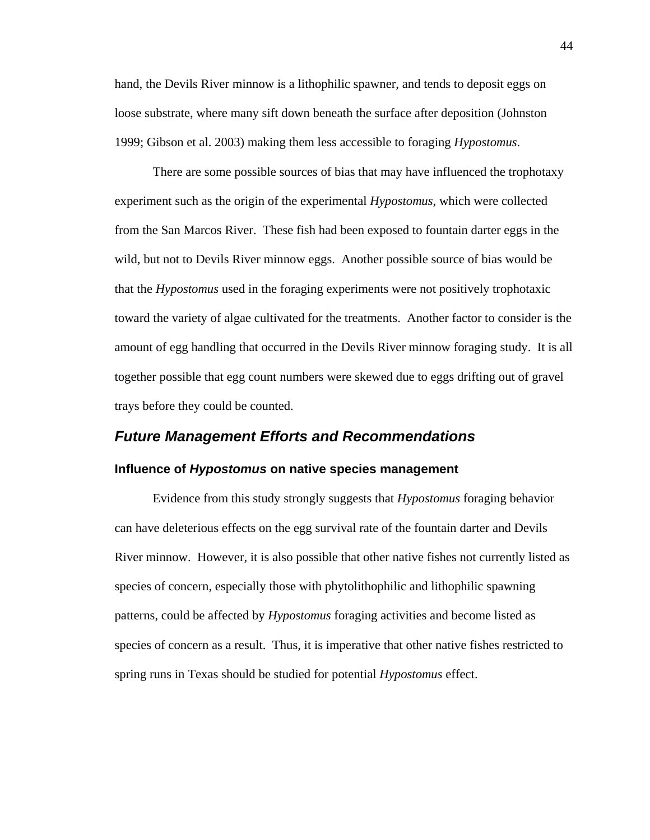hand, the Devils River minnow is a lithophilic spawner, and tends to deposit eggs on loose substrate, where many sift down beneath the surface after deposition (Johnston 1999; Gibson et al. 2003) making them less accessible to foraging *Hypostomus*.

There are some possible sources of bias that may have influenced the trophotaxy experiment such as the origin of the experimental *Hypostomus*, which were collected from the San Marcos River. These fish had been exposed to fountain darter eggs in the wild, but not to Devils River minnow eggs. Another possible source of bias would be that the *Hypostomus* used in the foraging experiments were not positively trophotaxic toward the variety of algae cultivated for the treatments. Another factor to consider is the amount of egg handling that occurred in the Devils River minnow foraging study. It is all together possible that egg count numbers were skewed due to eggs drifting out of gravel trays before they could be counted.

# *Future Management Efforts and Recommendations*  **Influence of** *Hypostomus* **on native species management**

Evidence from this study strongly suggests that *Hypostomus* foraging behavior can have deleterious effects on the egg survival rate of the fountain darter and Devils River minnow. However, it is also possible that other native fishes not currently listed as species of concern, especially those with phytolithophilic and lithophilic spawning patterns, could be affected by *Hypostomus* foraging activities and become listed as species of concern as a result. Thus, it is imperative that other native fishes restricted to spring runs in Texas should be studied for potential *Hypostomus* effect.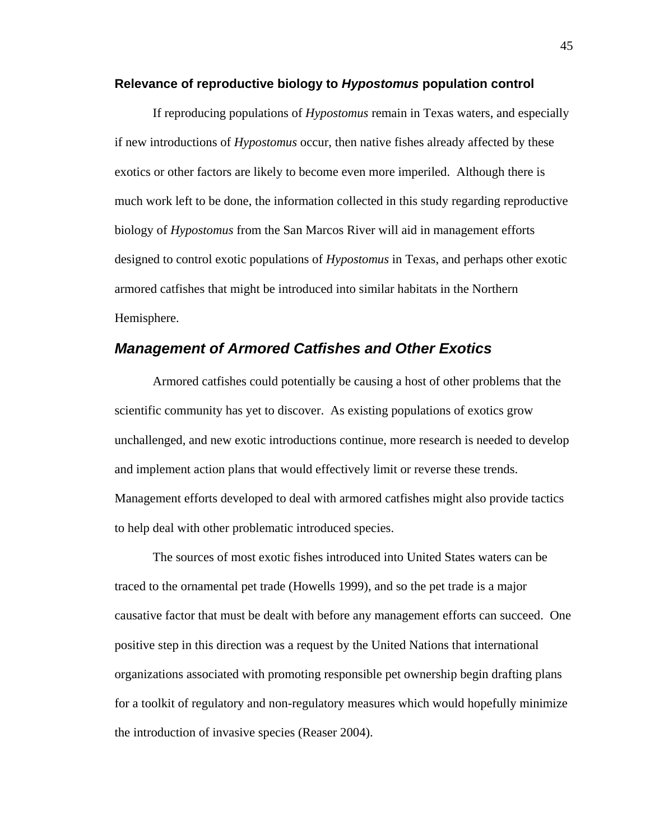#### **Relevance of reproductive biology to** *Hypostomus* **population control**

If reproducing populations of *Hypostomus* remain in Texas waters, and especially if new introductions of *Hypostomus* occur, then native fishes already affected by these exotics or other factors are likely to become even more imperiled. Although there is much work left to be done, the information collected in this study regarding reproductive biology of *Hypostomus* from the San Marcos River will aid in management efforts designed to control exotic populations of *Hypostomus* in Texas, and perhaps other exotic armored catfishes that might be introduced into similar habitats in the Northern Hemisphere.

### *Management of Armored Catfishes and Other Exotics*

Armored catfishes could potentially be causing a host of other problems that the scientific community has yet to discover. As existing populations of exotics grow unchallenged, and new exotic introductions continue, more research is needed to develop and implement action plans that would effectively limit or reverse these trends. Management efforts developed to deal with armored catfishes might also provide tactics to help deal with other problematic introduced species.

The sources of most exotic fishes introduced into United States waters can be traced to the ornamental pet trade (Howells 1999), and so the pet trade is a major causative factor that must be dealt with before any management efforts can succeed. One positive step in this direction was a request by the United Nations that international organizations associated with promoting responsible pet ownership begin drafting plans for a toolkit of regulatory and non-regulatory measures which would hopefully minimize the introduction of invasive species (Reaser 2004).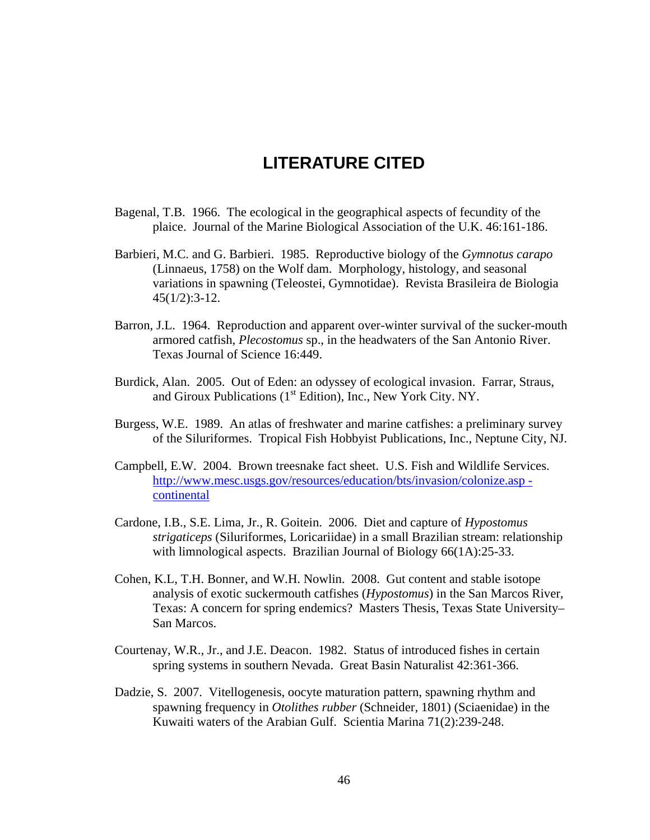## **LITERATURE CITED**

- Bagenal, T.B. 1966. The ecological in the geographical aspects of fecundity of the plaice. Journal of the Marine Biological Association of the U.K. 46:161-186.
- Barbieri, M.C. and G. Barbieri. 1985. Reproductive biology of the *Gymnotus carapo* (Linnaeus, 1758) on the Wolf dam. Morphology, histology, and seasonal variations in spawning (Teleostei, Gymnotidae). Revista Brasileira de Biologia 45(1/2):3-12.
- Barron, J.L. 1964. Reproduction and apparent over-winter survival of the sucker-mouth armored catfish, *Plecostomus* sp., in the headwaters of the San Antonio River. Texas Journal of Science 16:449.
- Burdick, Alan. 2005. Out of Eden: an odyssey of ecological invasion. Farrar, Straus, and Giroux Publications  $(1<sup>st</sup> Edition)$ , Inc., New York City. NY.
- Burgess, W.E. 1989. An atlas of freshwater and marine catfishes: a preliminary survey of the Siluriformes. Tropical Fish Hobbyist Publications, Inc., Neptune City, NJ.
- Campbell, E.W. 2004. Brown treesnake fact sheet. U.S. Fish and Wildlife Services. http://www.mesc.usgs.gov/resources/education/bts/invasion/colonize.asp continental
- Cardone, I.B., S.E. Lima, Jr., R. Goitein. 2006. Diet and capture of *Hypostomus strigaticeps* (Siluriformes, Loricariidae) in a small Brazilian stream: relationship with limnological aspects. Brazilian Journal of Biology 66(1A):25-33.
- Cohen, K.L, T.H. Bonner, and W.H. Nowlin. 2008. Gut content and stable isotope analysis of exotic suckermouth catfishes (*Hypostomus*) in the San Marcos River, Texas: A concern for spring endemics? Masters Thesis, Texas State University– San Marcos.
- Courtenay, W.R., Jr., and J.E. Deacon. 1982. Status of introduced fishes in certain spring systems in southern Nevada. Great Basin Naturalist 42:361-366.
- Dadzie, S. 2007. Vitellogenesis, oocyte maturation pattern, spawning rhythm and spawning frequency in *Otolithes rubber* (Schneider, 1801) (Sciaenidae) in the Kuwaiti waters of the Arabian Gulf. Scientia Marina 71(2):239-248.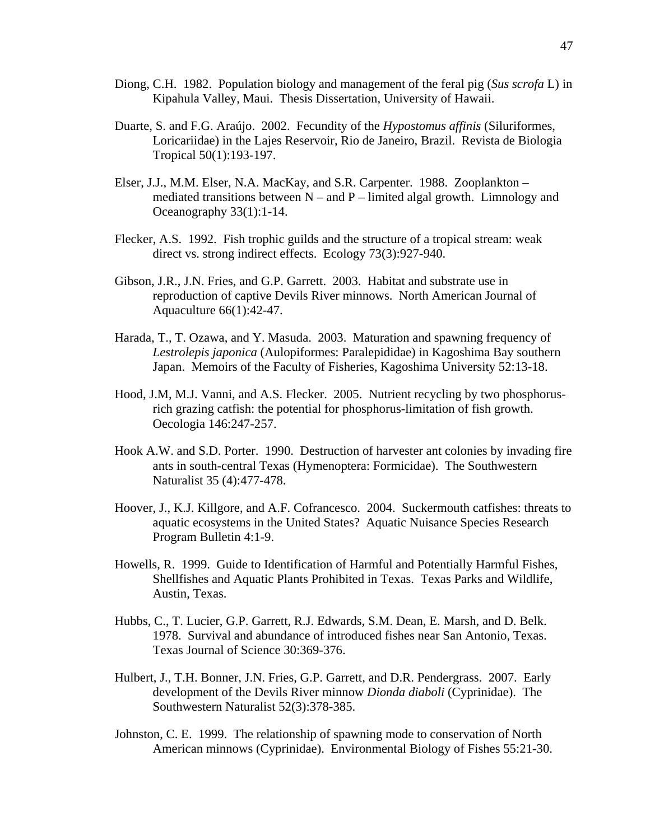- Diong, C.H. 1982. Population biology and management of the feral pig (*Sus scrofa* L) in Kipahula Valley, Maui. Thesis Dissertation, University of Hawaii.
- Duarte, S. and F.G. Araújo. 2002. Fecundity of the *Hypostomus affinis* (Siluriformes, Loricariidae) in the Lajes Reservoir, Rio de Janeiro, Brazil. Revista de Biologia Tropical 50(1):193-197.
- Elser, J.J., M.M. Elser, N.A. MacKay, and S.R. Carpenter. 1988. Zooplankton mediated transitions between  $N -$  and  $P -$  limited algal growth. Limnology and Oceanography 33(1):1-14.
- Flecker, A.S. 1992. Fish trophic guilds and the structure of a tropical stream: weak direct vs. strong indirect effects. Ecology 73(3):927-940.
- Gibson, J.R., J.N. Fries, and G.P. Garrett. 2003. Habitat and substrate use in reproduction of captive Devils River minnows. North American Journal of Aquaculture 66(1):42-47.
- Harada, T., T. Ozawa, and Y. Masuda. 2003. Maturation and spawning frequency of *Lestrolepis japonica* (Aulopiformes: Paralepididae) in Kagoshima Bay southern Japan. Memoirs of the Faculty of Fisheries, Kagoshima University 52:13-18.
- Hood, J.M, M.J. Vanni, and A.S. Flecker. 2005. Nutrient recycling by two phosphorusrich grazing catfish: the potential for phosphorus-limitation of fish growth. Oecologia 146:247-257.
- Hook A.W. and S.D. Porter. 1990. Destruction of harvester ant colonies by invading fire ants in south-central Texas (Hymenoptera: Formicidae). The Southwestern Naturalist 35 (4):477-478.
- Hoover, J., K.J. Killgore, and A.F. Cofrancesco. 2004. Suckermouth catfishes: threats to aquatic ecosystems in the United States? Aquatic Nuisance Species Research Program Bulletin 4:1-9.
- Howells, R. 1999. Guide to Identification of Harmful and Potentially Harmful Fishes, Shellfishes and Aquatic Plants Prohibited in Texas. Texas Parks and Wildlife, Austin, Texas.
- Hubbs, C., T. Lucier, G.P. Garrett, R.J. Edwards, S.M. Dean, E. Marsh, and D. Belk. 1978. Survival and abundance of introduced fishes near San Antonio, Texas. Texas Journal of Science 30:369-376.
- Hulbert, J., T.H. Bonner, J.N. Fries, G.P. Garrett, and D.R. Pendergrass. 2007. Early development of the Devils River minnow *Dionda diaboli* (Cyprinidae). The Southwestern Naturalist 52(3):378-385.
- Johnston, C. E. 1999. The relationship of spawning mode to conservation of North American minnows (Cyprinidae). Environmental Biology of Fishes 55:21-30.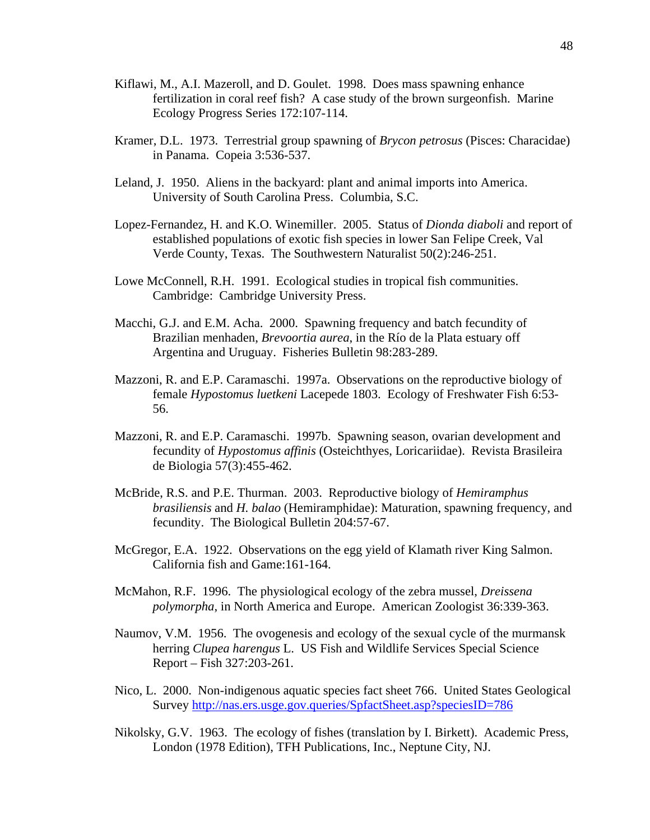- Kiflawi, M., A.I. Mazeroll, and D. Goulet. 1998. Does mass spawning enhance fertilization in coral reef fish? A case study of the brown surgeonfish. Marine Ecology Progress Series 172:107-114.
- Kramer, D.L. 1973. Terrestrial group spawning of *Brycon petrosus* (Pisces: Characidae) in Panama. Copeia 3:536-537.
- Leland, J. 1950. Aliens in the backyard: plant and animal imports into America. University of South Carolina Press. Columbia, S.C.
- Lopez-Fernandez, H. and K.O. Winemiller. 2005. Status of *Dionda diaboli* and report of established populations of exotic fish species in lower San Felipe Creek, Val Verde County, Texas. The Southwestern Naturalist 50(2):246-251.
- Lowe McConnell, R.H. 1991. Ecological studies in tropical fish communities. Cambridge: Cambridge University Press.
- Macchi, G.J. and E.M. Acha. 2000. Spawning frequency and batch fecundity of Brazilian menhaden, *Brevoortia aurea*, in the Río de la Plata estuary off Argentina and Uruguay. Fisheries Bulletin 98:283-289.
- Mazzoni, R. and E.P. Caramaschi. 1997a. Observations on the reproductive biology of female *Hypostomus luetkeni* Lacepede 1803. Ecology of Freshwater Fish 6:53- 56.
- Mazzoni, R. and E.P. Caramaschi. 1997b. Spawning season, ovarian development and fecundity of *Hypostomus affinis* (Osteichthyes, Loricariidae). Revista Brasileira de Biologia 57(3):455-462.
- McBride, R.S. and P.E. Thurman. 2003. Reproductive biology of *Hemiramphus brasiliensis* and *H. balao* (Hemiramphidae): Maturation, spawning frequency, and fecundity. The Biological Bulletin 204:57-67.
- McGregor, E.A. 1922. Observations on the egg yield of Klamath river King Salmon. California fish and Game:161-164.
- McMahon, R.F. 1996. The physiological ecology of the zebra mussel, *Dreissena polymorpha*, in North America and Europe. American Zoologist 36:339-363.
- Naumov, V.M. 1956. The ovogenesis and ecology of the sexual cycle of the murmansk herring *Clupea harengus* L. US Fish and Wildlife Services Special Science Report – Fish 327:203-261.
- Nico, L. 2000. Non-indigenous aquatic species fact sheet 766. United States Geological Survey http://nas.ers.usge.gov.queries/SpfactSheet.asp?speciesID=786
- Nikolsky, G.V. 1963. The ecology of fishes (translation by I. Birkett). Academic Press, London (1978 Edition), TFH Publications, Inc., Neptune City, NJ.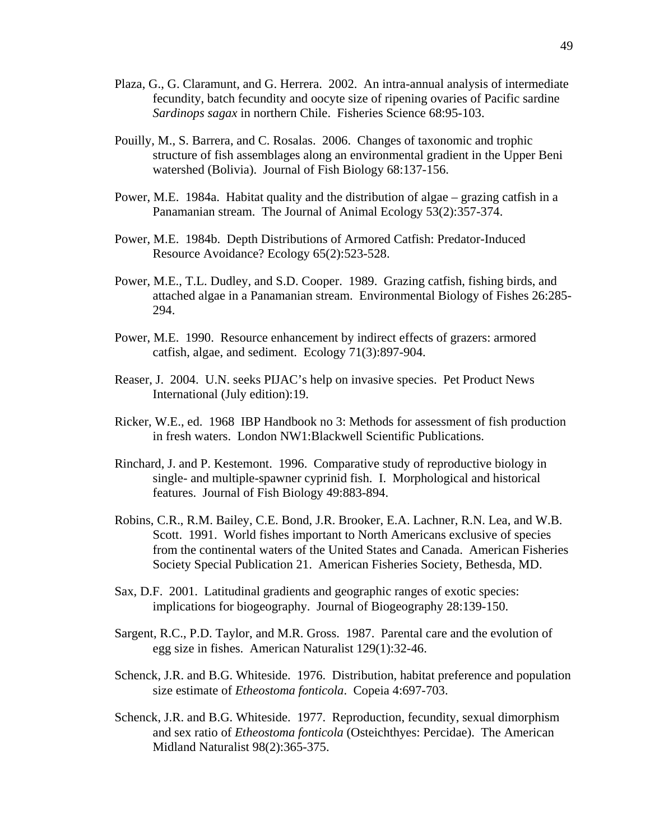- Plaza, G., G. Claramunt, and G. Herrera. 2002. An intra-annual analysis of intermediate fecundity, batch fecundity and oocyte size of ripening ovaries of Pacific sardine *Sardinops sagax* in northern Chile. Fisheries Science 68:95-103.
- Pouilly, M., S. Barrera, and C. Rosalas. 2006. Changes of taxonomic and trophic structure of fish assemblages along an environmental gradient in the Upper Beni watershed (Bolivia). Journal of Fish Biology 68:137-156.
- Power, M.E. 1984a. Habitat quality and the distribution of algae grazing catfish in a Panamanian stream. The Journal of Animal Ecology 53(2):357-374.
- Power, M.E. 1984b. Depth Distributions of Armored Catfish: Predator-Induced Resource Avoidance? Ecology 65(2):523-528.
- Power, M.E., T.L. Dudley, and S.D. Cooper. 1989. Grazing catfish, fishing birds, and attached algae in a Panamanian stream. Environmental Biology of Fishes 26:285- 294.
- Power, M.E. 1990. Resource enhancement by indirect effects of grazers: armored catfish, algae, and sediment. Ecology 71(3):897-904.
- Reaser, J. 2004. U.N. seeks PIJAC's help on invasive species. Pet Product News International (July edition):19.
- Ricker, W.E., ed. 1968 IBP Handbook no 3: Methods for assessment of fish production in fresh waters. London NW1:Blackwell Scientific Publications.
- Rinchard, J. and P. Kestemont. 1996. Comparative study of reproductive biology in single- and multiple-spawner cyprinid fish. I. Morphological and historical features. Journal of Fish Biology 49:883-894.
- Robins, C.R., R.M. Bailey, C.E. Bond, J.R. Brooker, E.A. Lachner, R.N. Lea, and W.B. Scott. 1991. World fishes important to North Americans exclusive of species from the continental waters of the United States and Canada. American Fisheries Society Special Publication 21. American Fisheries Society, Bethesda, MD.
- Sax, D.F. 2001. Latitudinal gradients and geographic ranges of exotic species: implications for biogeography. Journal of Biogeography 28:139-150.
- Sargent, R.C., P.D. Taylor, and M.R. Gross. 1987. Parental care and the evolution of egg size in fishes. American Naturalist 129(1):32-46.
- Schenck, J.R. and B.G. Whiteside. 1976. Distribution, habitat preference and population size estimate of *Etheostoma fonticola*. Copeia 4:697-703.
- Schenck, J.R. and B.G. Whiteside. 1977. Reproduction, fecundity, sexual dimorphism and sex ratio of *Etheostoma fonticola* (Osteichthyes: Percidae). The American Midland Naturalist 98(2):365-375.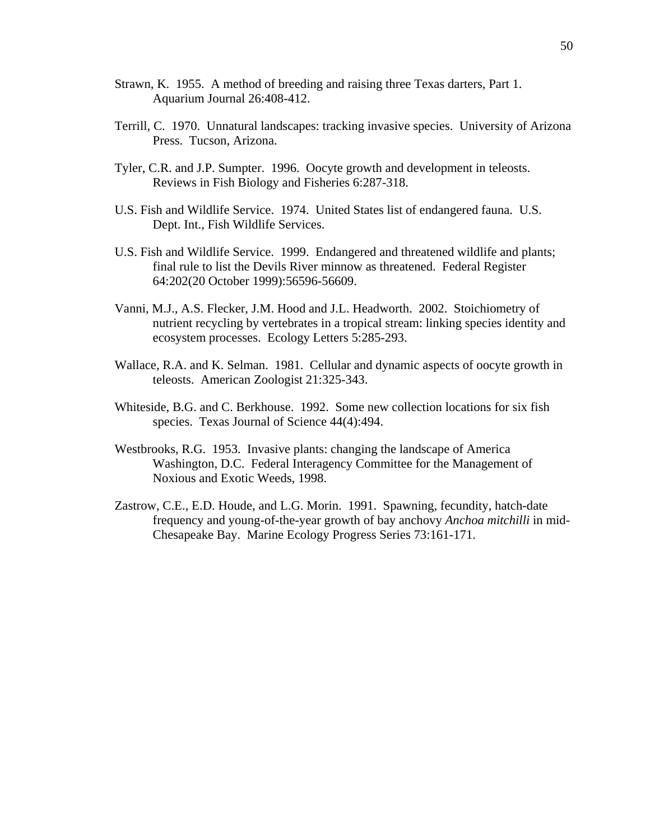- Strawn, K. 1955. A method of breeding and raising three Texas darters, Part 1. Aquarium Journal 26:408-412.
- Terrill, C. 1970. Unnatural landscapes: tracking invasive species. University of Arizona Press. Tucson, Arizona.
- Tyler, C.R. and J.P. Sumpter. 1996. Oocyte growth and development in teleosts. Reviews in Fish Biology and Fisheries 6:287-318.
- U.S. Fish and Wildlife Service. 1974. United States list of endangered fauna. U.S. Dept. Int., Fish Wildlife Services.
- U.S. Fish and Wildlife Service. 1999. Endangered and threatened wildlife and plants; final rule to list the Devils River minnow as threatened. Federal Register 64:202(20 October 1999):56596-56609.
- Vanni, M.J., A.S. Flecker, J.M. Hood and J.L. Headworth. 2002. Stoichiometry of nutrient recycling by vertebrates in a tropical stream: linking species identity and ecosystem processes. Ecology Letters 5:285-293.
- Wallace, R.A. and K. Selman. 1981. Cellular and dynamic aspects of oocyte growth in teleosts. American Zoologist 21:325-343.
- Whiteside, B.G. and C. Berkhouse. 1992. Some new collection locations for six fish species. Texas Journal of Science 44(4):494.
- Westbrooks, R.G. 1953. Invasive plants: changing the landscape of America Washington, D.C. Federal Interagency Committee for the Management of Noxious and Exotic Weeds, 1998.
- Zastrow, C.E., E.D. Houde, and L.G. Morin. 1991. Spawning, fecundity, hatch-date frequency and young-of-the-year growth of bay anchovy *Anchoa mitchilli* in mid-Chesapeake Bay. Marine Ecology Progress Series 73:161-171.